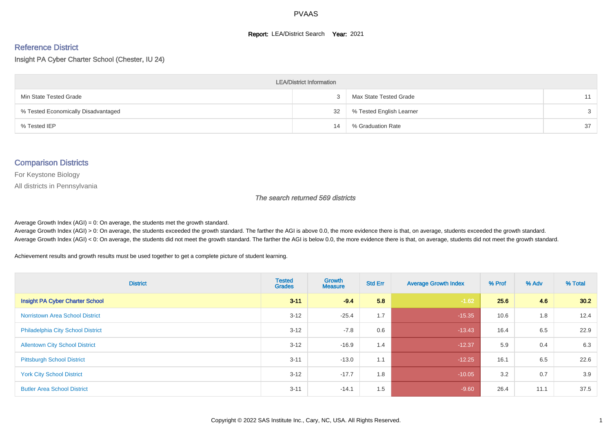#### **Report: LEA/District Search Year: 2021**

#### Reference District

Insight PA Cyber Charter School (Chester, IU 24)

| <b>LEA/District Information</b>     |    |                          |               |  |  |  |  |  |  |  |
|-------------------------------------|----|--------------------------|---------------|--|--|--|--|--|--|--|
| Min State Tested Grade              |    | Max State Tested Grade   | 11            |  |  |  |  |  |  |  |
| % Tested Economically Disadvantaged | 32 | % Tested English Learner | $\mathcal{S}$ |  |  |  |  |  |  |  |
| % Tested IEP                        | 14 | % Graduation Rate        | 37            |  |  |  |  |  |  |  |

#### Comparison Districts

For Keystone Biology

All districts in Pennsylvania

The search returned 569 districts

Average Growth Index  $(AGI) = 0$ : On average, the students met the growth standard.

Average Growth Index (AGI) > 0: On average, the students exceeded the growth standard. The farther the AGI is above 0.0, the more evidence there is that, on average, students exceeded the growth standard. Average Growth Index (AGI) < 0: On average, the students did not meet the growth standard. The farther the AGI is below 0.0, the more evidence there is that, on average, students did not meet the growth standard.

Achievement results and growth results must be used together to get a complete picture of student learning.

| <b>District</b>                          | <b>Tested</b><br><b>Grades</b> | Growth<br><b>Measure</b> | <b>Std Err</b> | <b>Average Growth Index</b> | % Prof | % Adv | % Total |
|------------------------------------------|--------------------------------|--------------------------|----------------|-----------------------------|--------|-------|---------|
| Insight PA Cyber Charter School          | $3 - 11$                       | $-9.4$                   | 5.8            | $-1.62$                     | 25.6   | 4.6   | 30.2    |
| <b>Norristown Area School District</b>   | $3 - 12$                       | $-25.4$                  | 1.7            | $-15.35$                    | 10.6   | 1.8   | 12.4    |
| <b>Philadelphia City School District</b> | $3 - 12$                       | $-7.8$                   | 0.6            | $-13.43$                    | 16.4   | 6.5   | 22.9    |
| <b>Allentown City School District</b>    | $3 - 12$                       | $-16.9$                  | 1.4            | $-12.37$                    | 5.9    | 0.4   | 6.3     |
| <b>Pittsburgh School District</b>        | $3 - 11$                       | $-13.0$                  | 1.1            | $-12.25$                    | 16.1   | 6.5   | 22.6    |
| <b>York City School District</b>         | $3 - 12$                       | $-17.7$                  | 1.8            | $-10.05$                    | 3.2    | 0.7   | 3.9     |
| <b>Butler Area School District</b>       | $3 - 11$                       | $-14.1$                  | 1.5            | $-9.60$                     | 26.4   | 11.1  | 37.5    |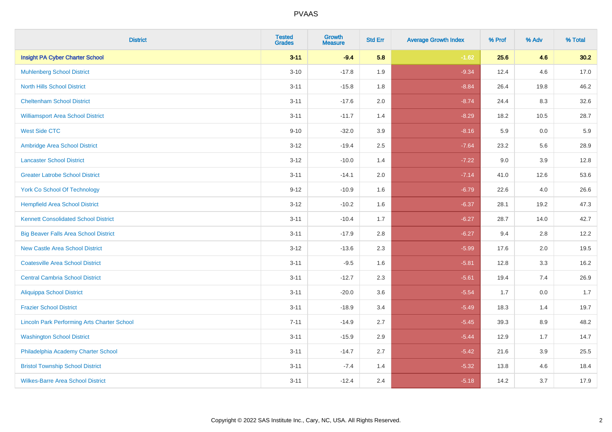| <b>District</b>                                    | <b>Tested</b><br><b>Grades</b> | <b>Growth</b><br><b>Measure</b> | <b>Std Err</b> | <b>Average Growth Index</b> | % Prof | % Adv | % Total |
|----------------------------------------------------|--------------------------------|---------------------------------|----------------|-----------------------------|--------|-------|---------|
| <b>Insight PA Cyber Charter School</b>             | $3 - 11$                       | $-9.4$                          | 5.8            | $-1.62$                     | 25.6   | 4.6   | 30.2    |
| <b>Muhlenberg School District</b>                  | $3 - 10$                       | $-17.8$                         | 1.9            | $-9.34$                     | 12.4   | 4.6   | 17.0    |
| <b>North Hills School District</b>                 | $3 - 11$                       | $-15.8$                         | 1.8            | $-8.84$                     | 26.4   | 19.8  | 46.2    |
| <b>Cheltenham School District</b>                  | $3 - 11$                       | $-17.6$                         | 2.0            | $-8.74$                     | 24.4   | 8.3   | 32.6    |
| <b>Williamsport Area School District</b>           | $3 - 11$                       | $-11.7$                         | 1.4            | $-8.29$                     | 18.2   | 10.5  | 28.7    |
| <b>West Side CTC</b>                               | $9 - 10$                       | $-32.0$                         | 3.9            | $-8.16$                     | 5.9    | 0.0   | 5.9     |
| Ambridge Area School District                      | $3 - 12$                       | $-19.4$                         | 2.5            | $-7.64$                     | 23.2   | 5.6   | 28.9    |
| <b>Lancaster School District</b>                   | $3 - 12$                       | $-10.0$                         | 1.4            | $-7.22$                     | 9.0    | 3.9   | 12.8    |
| <b>Greater Latrobe School District</b>             | $3 - 11$                       | $-14.1$                         | 2.0            | $-7.14$                     | 41.0   | 12.6  | 53.6    |
| <b>York Co School Of Technology</b>                | $9 - 12$                       | $-10.9$                         | 1.6            | $-6.79$                     | 22.6   | 4.0   | 26.6    |
| <b>Hempfield Area School District</b>              | $3 - 12$                       | $-10.2$                         | 1.6            | $-6.37$                     | 28.1   | 19.2  | 47.3    |
| <b>Kennett Consolidated School District</b>        | $3 - 11$                       | $-10.4$                         | 1.7            | $-6.27$                     | 28.7   | 14.0  | 42.7    |
| <b>Big Beaver Falls Area School District</b>       | $3 - 11$                       | $-17.9$                         | $2.8\,$        | $-6.27$                     | 9.4    | 2.8   | 12.2    |
| <b>New Castle Area School District</b>             | $3 - 12$                       | $-13.6$                         | 2.3            | $-5.99$                     | 17.6   | 2.0   | 19.5    |
| <b>Coatesville Area School District</b>            | $3 - 11$                       | $-9.5$                          | 1.6            | $-5.81$                     | 12.8   | 3.3   | 16.2    |
| <b>Central Cambria School District</b>             | $3 - 11$                       | $-12.7$                         | 2.3            | $-5.61$                     | 19.4   | 7.4   | 26.9    |
| <b>Aliquippa School District</b>                   | $3 - 11$                       | $-20.0$                         | 3.6            | $-5.54$                     | 1.7    | 0.0   | 1.7     |
| <b>Frazier School District</b>                     | $3 - 11$                       | $-18.9$                         | 3.4            | $-5.49$                     | 18.3   | 1.4   | 19.7    |
| <b>Lincoln Park Performing Arts Charter School</b> | $7 - 11$                       | $-14.9$                         | 2.7            | $-5.45$                     | 39.3   | 8.9   | 48.2    |
| <b>Washington School District</b>                  | $3 - 11$                       | $-15.9$                         | 2.9            | $-5.44$                     | 12.9   | 1.7   | 14.7    |
| Philadelphia Academy Charter School                | $3 - 11$                       | $-14.7$                         | 2.7            | $-5.42$                     | 21.6   | 3.9   | 25.5    |
| <b>Bristol Township School District</b>            | $3 - 11$                       | $-7.4$                          | 1.4            | $-5.32$                     | 13.8   | 4.6   | 18.4    |
| <b>Wilkes-Barre Area School District</b>           | $3 - 11$                       | $-12.4$                         | 2.4            | $-5.18$                     | 14.2   | 3.7   | 17.9    |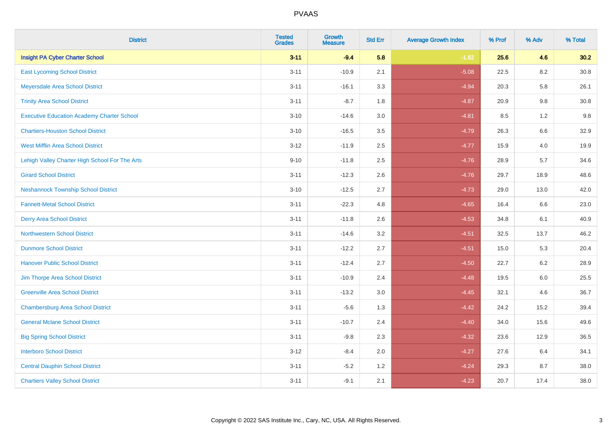| <b>District</b>                                   | <b>Tested</b><br><b>Grades</b> | <b>Growth</b><br><b>Measure</b> | <b>Std Err</b> | <b>Average Growth Index</b> | % Prof | % Adv   | % Total  |
|---------------------------------------------------|--------------------------------|---------------------------------|----------------|-----------------------------|--------|---------|----------|
| Insight PA Cyber Charter School                   | $3 - 11$                       | $-9.4$                          | 5.8            | $-1.62$                     | 25.6   | 4.6     | 30.2     |
| <b>East Lycoming School District</b>              | $3 - 11$                       | $-10.9$                         | 2.1            | $-5.08$                     | 22.5   | $8.2\,$ | $30.8\,$ |
| Meyersdale Area School District                   | $3 - 11$                       | $-16.1$                         | 3.3            | $-4.94$                     | 20.3   | 5.8     | 26.1     |
| <b>Trinity Area School District</b>               | $3 - 11$                       | $-8.7$                          | 1.8            | $-4.87$                     | 20.9   | 9.8     | 30.8     |
| <b>Executive Education Academy Charter School</b> | $3 - 10$                       | $-14.6$                         | 3.0            | $-4.81$                     | 8.5    | 1.2     | 9.8      |
| <b>Chartiers-Houston School District</b>          | $3 - 10$                       | $-16.5$                         | 3.5            | $-4.79$                     | 26.3   | 6.6     | 32.9     |
| <b>West Mifflin Area School District</b>          | $3 - 12$                       | $-11.9$                         | 2.5            | $-4.77$                     | 15.9   | 4.0     | 19.9     |
| Lehigh Valley Charter High School For The Arts    | $9 - 10$                       | $-11.8$                         | 2.5            | $-4.76$                     | 28.9   | 5.7     | 34.6     |
| <b>Girard School District</b>                     | $3 - 11$                       | $-12.3$                         | 2.6            | $-4.76$                     | 29.7   | 18.9    | 48.6     |
| <b>Neshannock Township School District</b>        | $3 - 10$                       | $-12.5$                         | 2.7            | $-4.73$                     | 29.0   | 13.0    | 42.0     |
| <b>Fannett-Metal School District</b>              | $3 - 11$                       | $-22.3$                         | 4.8            | $-4.65$                     | 16.4   | 6.6     | 23.0     |
| <b>Derry Area School District</b>                 | $3 - 11$                       | $-11.8$                         | 2.6            | $-4.53$                     | 34.8   | 6.1     | 40.9     |
| <b>Northwestern School District</b>               | $3 - 11$                       | $-14.6$                         | 3.2            | $-4.51$                     | 32.5   | 13.7    | 46.2     |
| <b>Dunmore School District</b>                    | $3 - 11$                       | $-12.2$                         | 2.7            | $-4.51$                     | 15.0   | 5.3     | 20.4     |
| <b>Hanover Public School District</b>             | $3 - 11$                       | $-12.4$                         | 2.7            | $-4.50$                     | 22.7   | 6.2     | 28.9     |
| Jim Thorpe Area School District                   | $3 - 11$                       | $-10.9$                         | 2.4            | $-4.48$                     | 19.5   | $6.0\,$ | 25.5     |
| <b>Greenville Area School District</b>            | $3 - 11$                       | $-13.2$                         | 3.0            | $-4.45$                     | 32.1   | 4.6     | 36.7     |
| <b>Chambersburg Area School District</b>          | $3 - 11$                       | $-5.6$                          | 1.3            | $-4.42$                     | 24.2   | 15.2    | 39.4     |
| <b>General Mclane School District</b>             | $3 - 11$                       | $-10.7$                         | 2.4            | $-4.40$                     | 34.0   | 15.6    | 49.6     |
| <b>Big Spring School District</b>                 | $3 - 11$                       | $-9.8$                          | 2.3            | $-4.32$                     | 23.6   | 12.9    | 36.5     |
| <b>Interboro School District</b>                  | $3 - 12$                       | $-8.4$                          | 2.0            | $-4.27$                     | 27.6   | 6.4     | 34.1     |
| <b>Central Dauphin School District</b>            | $3 - 11$                       | $-5.2$                          | 1.2            | $-4.24$                     | 29.3   | 8.7     | 38.0     |
| <b>Chartiers Valley School District</b>           | $3 - 11$                       | $-9.1$                          | 2.1            | $-4.23$                     | 20.7   | 17.4    | 38.0     |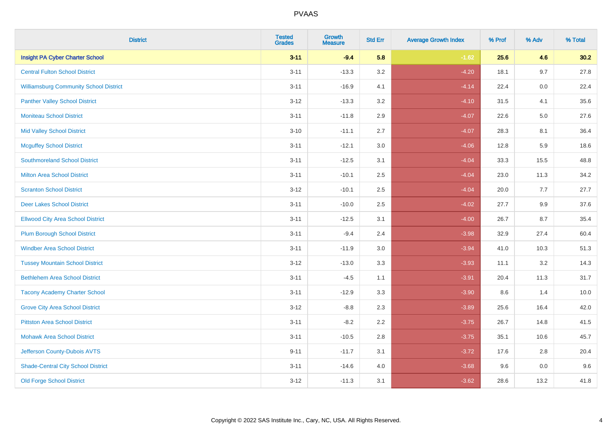| <b>District</b>                               | <b>Tested</b><br><b>Grades</b> | <b>Growth</b><br><b>Measure</b> | <b>Std Err</b> | <b>Average Growth Index</b> | % Prof | % Adv   | % Total |
|-----------------------------------------------|--------------------------------|---------------------------------|----------------|-----------------------------|--------|---------|---------|
| <b>Insight PA Cyber Charter School</b>        | $3 - 11$                       | $-9.4$                          | 5.8            | $-1.62$                     | 25.6   | 4.6     | 30.2    |
| <b>Central Fulton School District</b>         | $3 - 11$                       | $-13.3$                         | 3.2            | $-4.20$                     | 18.1   | 9.7     | 27.8    |
| <b>Williamsburg Community School District</b> | $3 - 11$                       | $-16.9$                         | 4.1            | $-4.14$                     | 22.4   | 0.0     | 22.4    |
| <b>Panther Valley School District</b>         | $3 - 12$                       | $-13.3$                         | 3.2            | $-4.10$                     | 31.5   | 4.1     | 35.6    |
| <b>Moniteau School District</b>               | $3 - 11$                       | $-11.8$                         | 2.9            | $-4.07$                     | 22.6   | $5.0\,$ | 27.6    |
| <b>Mid Valley School District</b>             | $3 - 10$                       | $-11.1$                         | 2.7            | $-4.07$                     | 28.3   | 8.1     | 36.4    |
| <b>Mcguffey School District</b>               | $3 - 11$                       | $-12.1$                         | 3.0            | $-4.06$                     | 12.8   | 5.9     | 18.6    |
| <b>Southmoreland School District</b>          | $3 - 11$                       | $-12.5$                         | 3.1            | $-4.04$                     | 33.3   | 15.5    | 48.8    |
| <b>Milton Area School District</b>            | $3 - 11$                       | $-10.1$                         | 2.5            | $-4.04$                     | 23.0   | 11.3    | 34.2    |
| <b>Scranton School District</b>               | $3 - 12$                       | $-10.1$                         | 2.5            | $-4.04$                     | 20.0   | 7.7     | 27.7    |
| <b>Deer Lakes School District</b>             | $3 - 11$                       | $-10.0$                         | 2.5            | $-4.02$                     | 27.7   | 9.9     | 37.6    |
| <b>Ellwood City Area School District</b>      | $3 - 11$                       | $-12.5$                         | 3.1            | $-4.00$                     | 26.7   | 8.7     | 35.4    |
| <b>Plum Borough School District</b>           | $3 - 11$                       | $-9.4$                          | 2.4            | $-3.98$                     | 32.9   | 27.4    | 60.4    |
| <b>Windber Area School District</b>           | $3 - 11$                       | $-11.9$                         | 3.0            | $-3.94$                     | 41.0   | 10.3    | 51.3    |
| <b>Tussey Mountain School District</b>        | $3 - 12$                       | $-13.0$                         | 3.3            | $-3.93$                     | 11.1   | 3.2     | 14.3    |
| <b>Bethlehem Area School District</b>         | $3 - 11$                       | $-4.5$                          | 1.1            | $-3.91$                     | 20.4   | 11.3    | 31.7    |
| <b>Tacony Academy Charter School</b>          | $3 - 11$                       | $-12.9$                         | 3.3            | $-3.90$                     | 8.6    | 1.4     | 10.0    |
| <b>Grove City Area School District</b>        | $3 - 12$                       | $-8.8$                          | 2.3            | $-3.89$                     | 25.6   | 16.4    | 42.0    |
| <b>Pittston Area School District</b>          | $3 - 11$                       | $-8.2$                          | 2.2            | $-3.75$                     | 26.7   | 14.8    | 41.5    |
| <b>Mohawk Area School District</b>            | $3 - 11$                       | $-10.5$                         | 2.8            | $-3.75$                     | 35.1   | 10.6    | 45.7    |
| Jefferson County-Dubois AVTS                  | $9 - 11$                       | $-11.7$                         | 3.1            | $-3.72$                     | 17.6   | 2.8     | 20.4    |
| <b>Shade-Central City School District</b>     | $3 - 11$                       | $-14.6$                         | 4.0            | $-3.68$                     | 9.6    | 0.0     | 9.6     |
| <b>Old Forge School District</b>              | $3 - 12$                       | $-11.3$                         | 3.1            | $-3.62$                     | 28.6   | 13.2    | 41.8    |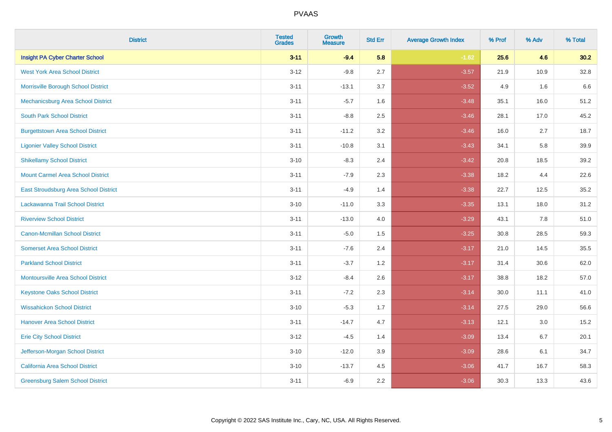| <b>District</b>                           | <b>Tested</b><br><b>Grades</b> | <b>Growth</b><br><b>Measure</b> | <b>Std Err</b> | <b>Average Growth Index</b> | % Prof | % Adv   | % Total |
|-------------------------------------------|--------------------------------|---------------------------------|----------------|-----------------------------|--------|---------|---------|
| <b>Insight PA Cyber Charter School</b>    | $3 - 11$                       | $-9.4$                          | 5.8            | $-1.62$                     | 25.6   | 4.6     | 30.2    |
| <b>West York Area School District</b>     | $3 - 12$                       | $-9.8$                          | 2.7            | $-3.57$                     | 21.9   | 10.9    | 32.8    |
| Morrisville Borough School District       | $3 - 11$                       | $-13.1$                         | 3.7            | $-3.52$                     | 4.9    | 1.6     | 6.6     |
| Mechanicsburg Area School District        | $3 - 11$                       | $-5.7$                          | 1.6            | $-3.48$                     | 35.1   | 16.0    | 51.2    |
| <b>South Park School District</b>         | $3 - 11$                       | $-8.8$                          | 2.5            | $-3.46$                     | 28.1   | 17.0    | 45.2    |
| <b>Burgettstown Area School District</b>  | $3 - 11$                       | $-11.2$                         | 3.2            | $-3.46$                     | 16.0   | 2.7     | 18.7    |
| <b>Ligonier Valley School District</b>    | $3 - 11$                       | $-10.8$                         | 3.1            | $-3.43$                     | 34.1   | 5.8     | 39.9    |
| <b>Shikellamy School District</b>         | $3 - 10$                       | $-8.3$                          | 2.4            | $-3.42$                     | 20.8   | 18.5    | 39.2    |
| <b>Mount Carmel Area School District</b>  | $3 - 11$                       | $-7.9$                          | 2.3            | $-3.38$                     | 18.2   | 4.4     | 22.6    |
| East Stroudsburg Area School District     | $3 - 11$                       | $-4.9$                          | 1.4            | $-3.38$                     | 22.7   | 12.5    | 35.2    |
| Lackawanna Trail School District          | $3 - 10$                       | $-11.0$                         | 3.3            | $-3.35$                     | 13.1   | 18.0    | 31.2    |
| <b>Riverview School District</b>          | $3 - 11$                       | $-13.0$                         | 4.0            | $-3.29$                     | 43.1   | 7.8     | 51.0    |
| <b>Canon-Mcmillan School District</b>     | $3 - 11$                       | $-5.0$                          | 1.5            | $-3.25$                     | 30.8   | 28.5    | 59.3    |
| <b>Somerset Area School District</b>      | $3 - 11$                       | $-7.6$                          | 2.4            | $-3.17$                     | 21.0   | 14.5    | 35.5    |
| <b>Parkland School District</b>           | $3 - 11$                       | $-3.7$                          | 1.2            | $-3.17$                     | 31.4   | 30.6    | 62.0    |
| <b>Montoursville Area School District</b> | $3 - 12$                       | $-8.4$                          | 2.6            | $-3.17$                     | 38.8   | 18.2    | 57.0    |
| <b>Keystone Oaks School District</b>      | $3 - 11$                       | $-7.2$                          | 2.3            | $-3.14$                     | 30.0   | 11.1    | 41.0    |
| <b>Wissahickon School District</b>        | $3 - 10$                       | $-5.3$                          | 1.7            | $-3.14$                     | 27.5   | 29.0    | 56.6    |
| <b>Hanover Area School District</b>       | $3 - 11$                       | $-14.7$                         | 4.7            | $-3.13$                     | 12.1   | $3.0\,$ | 15.2    |
| <b>Erie City School District</b>          | $3 - 12$                       | $-4.5$                          | 1.4            | $-3.09$                     | 13.4   | 6.7     | 20.1    |
| Jefferson-Morgan School District          | $3 - 10$                       | $-12.0$                         | 3.9            | $-3.09$                     | 28.6   | 6.1     | 34.7    |
| California Area School District           | $3 - 10$                       | $-13.7$                         | 4.5            | $-3.06$                     | 41.7   | 16.7    | 58.3    |
| <b>Greensburg Salem School District</b>   | $3 - 11$                       | $-6.9$                          | 2.2            | $-3.06$                     | 30.3   | 13.3    | 43.6    |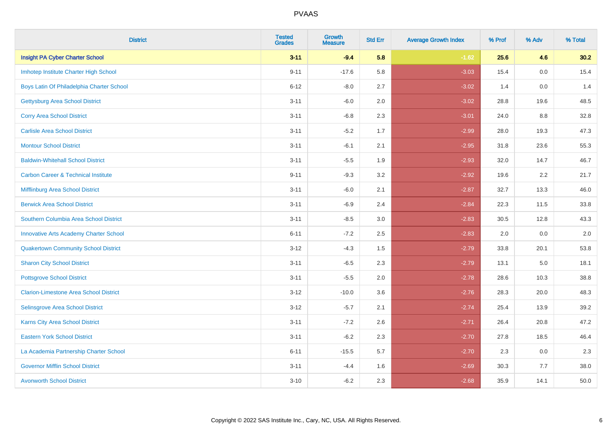| <b>District</b>                                | <b>Tested</b><br><b>Grades</b> | <b>Growth</b><br><b>Measure</b> | <b>Std Err</b> | <b>Average Growth Index</b> | % Prof | % Adv   | % Total |
|------------------------------------------------|--------------------------------|---------------------------------|----------------|-----------------------------|--------|---------|---------|
| <b>Insight PA Cyber Charter School</b>         | $3 - 11$                       | $-9.4$                          | 5.8            | $-1.62$                     | 25.6   | 4.6     | 30.2    |
| Imhotep Institute Charter High School          | $9 - 11$                       | $-17.6$                         | 5.8            | $-3.03$                     | 15.4   | 0.0     | 15.4    |
| Boys Latin Of Philadelphia Charter School      | $6 - 12$                       | $-8.0$                          | 2.7            | $-3.02$                     | 1.4    | 0.0     | 1.4     |
| <b>Gettysburg Area School District</b>         | $3 - 11$                       | $-6.0$                          | 2.0            | $-3.02$                     | 28.8   | 19.6    | 48.5    |
| <b>Corry Area School District</b>              | $3 - 11$                       | $-6.8$                          | 2.3            | $-3.01$                     | 24.0   | 8.8     | 32.8    |
| <b>Carlisle Area School District</b>           | $3 - 11$                       | $-5.2$                          | 1.7            | $-2.99$                     | 28.0   | 19.3    | 47.3    |
| <b>Montour School District</b>                 | $3 - 11$                       | $-6.1$                          | 2.1            | $-2.95$                     | 31.8   | 23.6    | 55.3    |
| <b>Baldwin-Whitehall School District</b>       | $3 - 11$                       | $-5.5$                          | 1.9            | $-2.93$                     | 32.0   | 14.7    | 46.7    |
| <b>Carbon Career &amp; Technical Institute</b> | $9 - 11$                       | $-9.3$                          | 3.2            | $-2.92$                     | 19.6   | 2.2     | 21.7    |
| Mifflinburg Area School District               | $3 - 11$                       | $-6.0$                          | 2.1            | $-2.87$                     | 32.7   | 13.3    | 46.0    |
| <b>Berwick Area School District</b>            | $3 - 11$                       | $-6.9$                          | 2.4            | $-2.84$                     | 22.3   | 11.5    | 33.8    |
| Southern Columbia Area School District         | $3 - 11$                       | $-8.5$                          | 3.0            | $-2.83$                     | 30.5   | 12.8    | 43.3    |
| <b>Innovative Arts Academy Charter School</b>  | $6 - 11$                       | $-7.2$                          | 2.5            | $-2.83$                     | 2.0    | 0.0     | $2.0\,$ |
| <b>Quakertown Community School District</b>    | $3 - 12$                       | $-4.3$                          | $1.5$          | $-2.79$                     | 33.8   | 20.1    | 53.8    |
| <b>Sharon City School District</b>             | $3 - 11$                       | $-6.5$                          | 2.3            | $-2.79$                     | 13.1   | $5.0\,$ | 18.1    |
| <b>Pottsgrove School District</b>              | $3 - 11$                       | $-5.5$                          | 2.0            | $-2.78$                     | 28.6   | 10.3    | 38.8    |
| <b>Clarion-Limestone Area School District</b>  | $3 - 12$                       | $-10.0$                         | 3.6            | $-2.76$                     | 28.3   | 20.0    | 48.3    |
| Selinsgrove Area School District               | $3 - 12$                       | $-5.7$                          | 2.1            | $-2.74$                     | 25.4   | 13.9    | 39.2    |
| Karns City Area School District                | $3 - 11$                       | $-7.2$                          | 2.6            | $-2.71$                     | 26.4   | 20.8    | 47.2    |
| <b>Eastern York School District</b>            | $3 - 11$                       | $-6.2$                          | 2.3            | $-2.70$                     | 27.8   | 18.5    | 46.4    |
| La Academia Partnership Charter School         | $6 - 11$                       | $-15.5$                         | 5.7            | $-2.70$                     | 2.3    | 0.0     | 2.3     |
| <b>Governor Mifflin School District</b>        | $3 - 11$                       | $-4.4$                          | 1.6            | $-2.69$                     | 30.3   | 7.7     | 38.0    |
| <b>Avonworth School District</b>               | $3 - 10$                       | $-6.2$                          | 2.3            | $-2.68$                     | 35.9   | 14.1    | 50.0    |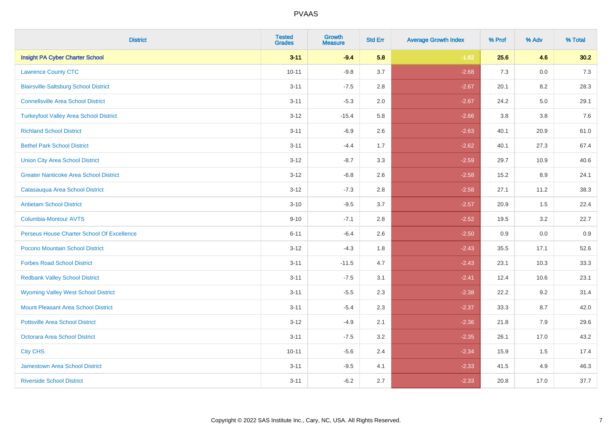| <b>District</b>                               | <b>Tested</b><br><b>Grades</b> | <b>Growth</b><br><b>Measure</b> | <b>Std Err</b> | <b>Average Growth Index</b> | % Prof | % Adv | % Total |
|-----------------------------------------------|--------------------------------|---------------------------------|----------------|-----------------------------|--------|-------|---------|
| <b>Insight PA Cyber Charter School</b>        | $3 - 11$                       | $-9.4$                          | 5.8            | $-1.62$                     | 25.6   | 4.6   | 30.2    |
| <b>Lawrence County CTC</b>                    | $10 - 11$                      | $-9.8$                          | 3.7            | $-2.68$                     | 7.3    | 0.0   | $7.3$   |
| <b>Blairsville-Saltsburg School District</b>  | $3 - 11$                       | $-7.5$                          | 2.8            | $-2.67$                     | 20.1   | 8.2   | 28.3    |
| <b>Connellsville Area School District</b>     | $3 - 11$                       | $-5.3$                          | 2.0            | $-2.67$                     | 24.2   | 5.0   | 29.1    |
| <b>Turkeyfoot Valley Area School District</b> | $3 - 12$                       | $-15.4$                         | 5.8            | $-2.66$                     | 3.8    | 3.8   | 7.6     |
| <b>Richland School District</b>               | $3 - 11$                       | $-6.9$                          | 2.6            | $-2.63$                     | 40.1   | 20.9  | 61.0    |
| <b>Bethel Park School District</b>            | $3 - 11$                       | $-4.4$                          | 1.7            | $-2.62$                     | 40.1   | 27.3  | 67.4    |
| <b>Union City Area School District</b>        | $3 - 12$                       | $-8.7$                          | 3.3            | $-2.59$                     | 29.7   | 10.9  | 40.6    |
| <b>Greater Nanticoke Area School District</b> | $3 - 12$                       | $-6.8$                          | 2.6            | $-2.58$                     | 15.2   | 8.9   | 24.1    |
| Catasauqua Area School District               | $3 - 12$                       | $-7.3$                          | 2.8            | $-2.58$                     | 27.1   | 11.2  | 38.3    |
| <b>Antietam School District</b>               | $3 - 10$                       | $-9.5$                          | 3.7            | $-2.57$                     | 20.9   | 1.5   | 22.4    |
| Columbia-Montour AVTS                         | $9 - 10$                       | $-7.1$                          | 2.8            | $-2.52$                     | 19.5   | 3.2   | 22.7    |
| Perseus House Charter School Of Excellence    | $6 - 11$                       | $-6.4$                          | 2.6            | $-2.50$                     | 0.9    | 0.0   | 0.9     |
| Pocono Mountain School District               | $3 - 12$                       | $-4.3$                          | 1.8            | $-2.43$                     | 35.5   | 17.1  | 52.6    |
| <b>Forbes Road School District</b>            | $3 - 11$                       | $-11.5$                         | 4.7            | $-2.43$                     | 23.1   | 10.3  | 33.3    |
| <b>Redbank Valley School District</b>         | $3 - 11$                       | $-7.5$                          | 3.1            | $-2.41$                     | 12.4   | 10.6  | 23.1    |
| <b>Wyoming Valley West School District</b>    | $3 - 11$                       | $-5.5$                          | 2.3            | $-2.38$                     | 22.2   | 9.2   | 31.4    |
| Mount Pleasant Area School District           | $3 - 11$                       | $-5.4$                          | 2.3            | $-2.37$                     | 33.3   | 8.7   | 42.0    |
| <b>Pottsville Area School District</b>        | $3 - 12$                       | $-4.9$                          | 2.1            | $-2.36$                     | 21.8   | 7.9   | 29.6    |
| Octorara Area School District                 | $3 - 11$                       | $-7.5$                          | 3.2            | $-2.35$                     | 26.1   | 17.0  | 43.2    |
| <b>City CHS</b>                               | $10 - 11$                      | $-5.6$                          | 2.4            | $-2.34$                     | 15.9   | 1.5   | 17.4    |
| <b>Jamestown Area School District</b>         | $3 - 11$                       | $-9.5$                          | 4.1            | $-2.33$                     | 41.5   | 4.9   | 46.3    |
| <b>Riverside School District</b>              | $3 - 11$                       | $-6.2$                          | 2.7            | $-2.33$                     | 20.8   | 17.0  | 37.7    |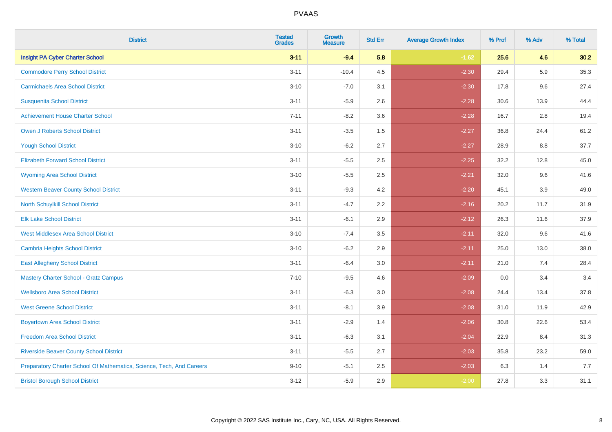| <b>District</b>                                                       | <b>Tested</b><br><b>Grades</b> | <b>Growth</b><br><b>Measure</b> | <b>Std Err</b> | <b>Average Growth Index</b> | % Prof | % Adv   | % Total |
|-----------------------------------------------------------------------|--------------------------------|---------------------------------|----------------|-----------------------------|--------|---------|---------|
| <b>Insight PA Cyber Charter School</b>                                | $3 - 11$                       | $-9.4$                          | 5.8            | $-1.62$                     | 25.6   | 4.6     | 30.2    |
| <b>Commodore Perry School District</b>                                | $3 - 11$                       | $-10.4$                         | 4.5            | $-2.30$                     | 29.4   | 5.9     | 35.3    |
| <b>Carmichaels Area School District</b>                               | $3 - 10$                       | $-7.0$                          | 3.1            | $-2.30$                     | 17.8   | 9.6     | 27.4    |
| <b>Susquenita School District</b>                                     | $3 - 11$                       | $-5.9$                          | 2.6            | $-2.28$                     | 30.6   | 13.9    | 44.4    |
| <b>Achievement House Charter School</b>                               | $7 - 11$                       | $-8.2$                          | 3.6            | $-2.28$                     | 16.7   | 2.8     | 19.4    |
| <b>Owen J Roberts School District</b>                                 | $3 - 11$                       | $-3.5$                          | 1.5            | $-2.27$                     | 36.8   | 24.4    | 61.2    |
| <b>Yough School District</b>                                          | $3 - 10$                       | $-6.2$                          | 2.7            | $-2.27$                     | 28.9   | $8.8\,$ | 37.7    |
| <b>Elizabeth Forward School District</b>                              | $3 - 11$                       | $-5.5$                          | 2.5            | $-2.25$                     | 32.2   | 12.8    | 45.0    |
| <b>Wyoming Area School District</b>                                   | $3 - 10$                       | $-5.5$                          | 2.5            | $-2.21$                     | 32.0   | 9.6     | 41.6    |
| <b>Western Beaver County School District</b>                          | $3 - 11$                       | $-9.3$                          | 4.2            | $-2.20$                     | 45.1   | 3.9     | 49.0    |
| North Schuylkill School District                                      | $3 - 11$                       | $-4.7$                          | 2.2            | $-2.16$                     | 20.2   | 11.7    | 31.9    |
| <b>Elk Lake School District</b>                                       | $3 - 11$                       | $-6.1$                          | 2.9            | $-2.12$                     | 26.3   | 11.6    | 37.9    |
| <b>West Middlesex Area School District</b>                            | $3 - 10$                       | $-7.4$                          | $3.5\,$        | $-2.11$                     | 32.0   | 9.6     | 41.6    |
| Cambria Heights School District                                       | $3 - 10$                       | $-6.2$                          | 2.9            | $-2.11$                     | 25.0   | 13.0    | 38.0    |
| <b>East Allegheny School District</b>                                 | $3 - 11$                       | $-6.4$                          | 3.0            | $-2.11$                     | 21.0   | 7.4     | 28.4    |
| <b>Mastery Charter School - Gratz Campus</b>                          | $7 - 10$                       | $-9.5$                          | 4.6            | $-2.09$                     | 0.0    | 3.4     | 3.4     |
| <b>Wellsboro Area School District</b>                                 | $3 - 11$                       | $-6.3$                          | 3.0            | $-2.08$                     | 24.4   | 13.4    | 37.8    |
| <b>West Greene School District</b>                                    | $3 - 11$                       | $-8.1$                          | 3.9            | $-2.08$                     | 31.0   | 11.9    | 42.9    |
| <b>Boyertown Area School District</b>                                 | $3 - 11$                       | $-2.9$                          | 1.4            | $-2.06$                     | 30.8   | 22.6    | 53.4    |
| <b>Freedom Area School District</b>                                   | $3 - 11$                       | $-6.3$                          | 3.1            | $-2.04$                     | 22.9   | 8.4     | 31.3    |
| <b>Riverside Beaver County School District</b>                        | $3 - 11$                       | $-5.5$                          | 2.7            | $-2.03$                     | 35.8   | 23.2    | 59.0    |
| Preparatory Charter School Of Mathematics, Science, Tech, And Careers | $9 - 10$                       | $-5.1$                          | 2.5            | $-2.03$                     | 6.3    | 1.4     | 7.7     |
| <b>Bristol Borough School District</b>                                | $3 - 12$                       | $-5.9$                          | 2.9            | $-2.00$                     | 27.8   | 3.3     | 31.1    |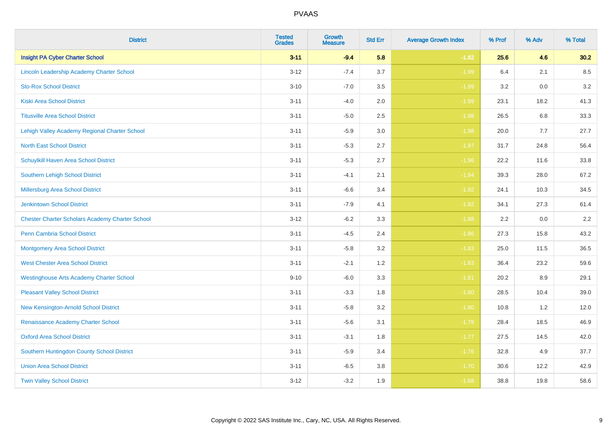| <b>District</b>                                        | <b>Tested</b><br><b>Grades</b> | <b>Growth</b><br><b>Measure</b> | <b>Std Err</b> | <b>Average Growth Index</b> | % Prof | % Adv | % Total |
|--------------------------------------------------------|--------------------------------|---------------------------------|----------------|-----------------------------|--------|-------|---------|
| <b>Insight PA Cyber Charter School</b>                 | $3 - 11$                       | $-9.4$                          | 5.8            | $-1.62$                     | 25.6   | 4.6   | 30.2    |
| Lincoln Leadership Academy Charter School              | $3 - 12$                       | $-7.4$                          | 3.7            | $-1.99$                     | 6.4    | 2.1   | 8.5     |
| <b>Sto-Rox School District</b>                         | $3 - 10$                       | $-7.0$                          | 3.5            | $-1.99$                     | 3.2    | 0.0   | 3.2     |
| <b>Kiski Area School District</b>                      | $3 - 11$                       | $-4.0$                          | 2.0            | $-1.99$                     | 23.1   | 18.2  | 41.3    |
| <b>Titusville Area School District</b>                 | $3 - 11$                       | $-5.0$                          | 2.5            | $-1.98$                     | 26.5   | 6.8   | 33.3    |
| Lehigh Valley Academy Regional Charter School          | $3 - 11$                       | $-5.9$                          | 3.0            | $-1.98$                     | 20.0   | 7.7   | 27.7    |
| <b>North East School District</b>                      | $3 - 11$                       | $-5.3$                          | 2.7            | $-1.97$                     | 31.7   | 24.8  | 56.4    |
| Schuylkill Haven Area School District                  | $3 - 11$                       | $-5.3$                          | 2.7            | $-1.96$                     | 22.2   | 11.6  | 33.8    |
| Southern Lehigh School District                        | $3 - 11$                       | $-4.1$                          | 2.1            | $-1.94$                     | 39.3   | 28.0  | 67.2    |
| Millersburg Area School District                       | $3 - 11$                       | $-6.6$                          | 3.4            | $-1.92$                     | 24.1   | 10.3  | 34.5    |
| <b>Jenkintown School District</b>                      | $3 - 11$                       | $-7.9$                          | 4.1            | $-1.92$                     | 34.1   | 27.3  | 61.4    |
| <b>Chester Charter Scholars Academy Charter School</b> | $3 - 12$                       | $-6.2$                          | 3.3            | $-1.88$                     | 2.2    | 0.0   | 2.2     |
| Penn Cambria School District                           | $3 - 11$                       | $-4.5$                          | 2.4            | $-1.86$                     | 27.3   | 15.8  | 43.2    |
| <b>Montgomery Area School District</b>                 | $3 - 11$                       | $-5.8$                          | 3.2            | $-1.83$                     | 25.0   | 11.5  | 36.5    |
| <b>West Chester Area School District</b>               | $3 - 11$                       | $-2.1$                          | 1.2            | $-1.83$                     | 36.4   | 23.2  | 59.6    |
| <b>Westinghouse Arts Academy Charter School</b>        | $9 - 10$                       | $-6.0$                          | 3.3            | $-1.81$                     | 20.2   | 8.9   | 29.1    |
| <b>Pleasant Valley School District</b>                 | $3 - 11$                       | $-3.3$                          | 1.8            | $-1.80$                     | 28.5   | 10.4  | 39.0    |
| New Kensington-Arnold School District                  | $3 - 11$                       | $-5.8$                          | 3.2            | $-1.80$                     | 10.8   | 1.2   | 12.0    |
| Renaissance Academy Charter School                     | $3 - 11$                       | $-5.6$                          | 3.1            | $-1.79$                     | 28.4   | 18.5  | 46.9    |
| <b>Oxford Area School District</b>                     | $3 - 11$                       | $-3.1$                          | 1.8            | $-1.77$                     | 27.5   | 14.5  | 42.0    |
| Southern Huntingdon County School District             | $3 - 11$                       | $-5.9$                          | 3.4            | $-1.76$                     | 32.8   | 4.9   | 37.7    |
| <b>Union Area School District</b>                      | $3 - 11$                       | $-6.5$                          | 3.8            | $-1.70$                     | 30.6   | 12.2  | 42.9    |
| <b>Twin Valley School District</b>                     | $3 - 12$                       | $-3.2$                          | 1.9            | $-1.68$                     | 38.8   | 19.8  | 58.6    |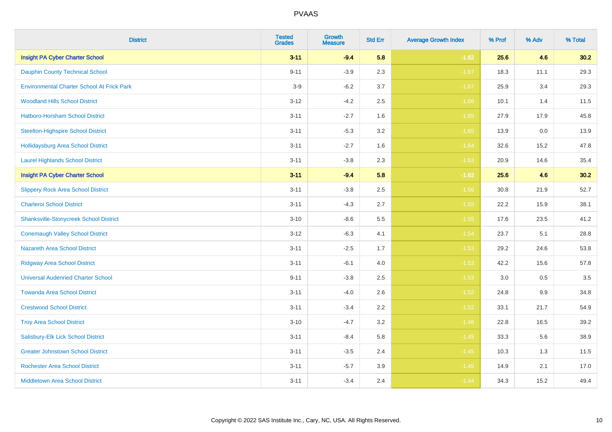| <b>District</b>                                   | <b>Tested</b><br><b>Grades</b> | <b>Growth</b><br><b>Measure</b> | <b>Std Err</b> | <b>Average Growth Index</b> | % Prof | % Adv | % Total |
|---------------------------------------------------|--------------------------------|---------------------------------|----------------|-----------------------------|--------|-------|---------|
| <b>Insight PA Cyber Charter School</b>            | $3 - 11$                       | $-9.4$                          | 5.8            | $-1.62$                     | 25.6   | 4.6   | 30.2    |
| <b>Dauphin County Technical School</b>            | $9 - 11$                       | $-3.9$                          | 2.3            | $-1.67$                     | 18.3   | 11.1  | 29.3    |
| <b>Environmental Charter School At Frick Park</b> | $3-9$                          | $-6.2$                          | 3.7            | $-1.67$                     | 25.9   | 3.4   | 29.3    |
| <b>Woodland Hills School District</b>             | $3 - 12$                       | $-4.2$                          | 2.5            | $-1.66$                     | 10.1   | 1.4   | 11.5    |
| Hatboro-Horsham School District                   | $3 - 11$                       | $-2.7$                          | 1.6            | $-1.65$                     | 27.9   | 17.9  | 45.8    |
| <b>Steelton-Highspire School District</b>         | $3 - 11$                       | $-5.3$                          | 3.2            | $-1.65$                     | 13.9   | 0.0   | 13.9    |
| <b>Hollidaysburg Area School District</b>         | $3 - 11$                       | $-2.7$                          | 1.6            | $-1.64$                     | 32.6   | 15.2  | 47.8    |
| <b>Laurel Highlands School District</b>           | $3 - 11$                       | $-3.8$                          | 2.3            | $-1.63$                     | 20.9   | 14.6  | 35.4    |
| <b>Insight PA Cyber Charter School</b>            | $3 - 11$                       | $-9.4$                          | 5.8            | $-1.62$                     | 25.6   | 4.6   | 30.2    |
| <b>Slippery Rock Area School District</b>         | $3 - 11$                       | $-3.8$                          | 2.5            | $-1.56$                     | 30.8   | 21.9  | 52.7    |
| <b>Charleroi School District</b>                  | $3 - 11$                       | $-4.3$                          | 2.7            | $-1.55$                     | 22.2   | 15.9  | 38.1    |
| <b>Shanksville-Stonycreek School District</b>     | $3 - 10$                       | $-8.6$                          | 5.5            | $-1.55$                     | 17.6   | 23.5  | 41.2    |
| <b>Conemaugh Valley School District</b>           | $3 - 12$                       | $-6.3$                          | 4.1            | $-1.54$                     | 23.7   | 5.1   | 28.8    |
| <b>Nazareth Area School District</b>              | $3 - 11$                       | $-2.5$                          | 1.7            | $-1.53$                     | 29.2   | 24.6  | 53.8    |
| <b>Ridgway Area School District</b>               | $3 - 11$                       | $-6.1$                          | 4.0            | $-1.53$                     | 42.2   | 15.6  | 57.8    |
| <b>Universal Audenried Charter School</b>         | $9 - 11$                       | $-3.8$                          | 2.5            | $-1.53$                     | 3.0    | 0.5   | 3.5     |
| <b>Towanda Area School District</b>               | $3 - 11$                       | $-4.0$                          | 2.6            | $-1.52$                     | 24.8   | 9.9   | 34.8    |
| <b>Crestwood School District</b>                  | $3 - 11$                       | $-3.4$                          | 2.2            | $-1.52$                     | 33.1   | 21.7  | 54.9    |
| <b>Troy Area School District</b>                  | $3 - 10$                       | $-4.7$                          | 3.2            | $-1.46$                     | 22.8   | 16.5  | 39.2    |
| Salisbury-Elk Lick School District                | $3 - 11$                       | $-8.4$                          | 5.8            | $-1.45$                     | 33.3   | 5.6   | 38.9    |
| <b>Greater Johnstown School District</b>          | $3 - 11$                       | $-3.5$                          | 2.4            | $-1.45$                     | 10.3   | 1.3   | 11.5    |
| <b>Rochester Area School District</b>             | $3 - 11$                       | $-5.7$                          | 3.9            | $-1.45$                     | 14.9   | 2.1   | 17.0    |
| <b>Middletown Area School District</b>            | $3 - 11$                       | $-3.4$                          | 2.4            | $-1.44$                     | 34.3   | 15.2  | 49.4    |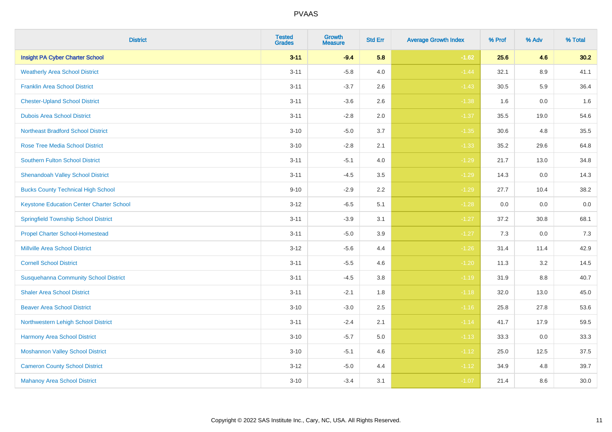| <b>District</b>                                 | <b>Tested</b><br><b>Grades</b> | <b>Growth</b><br><b>Measure</b> | <b>Std Err</b> | <b>Average Growth Index</b> | % Prof | % Adv   | % Total |
|-------------------------------------------------|--------------------------------|---------------------------------|----------------|-----------------------------|--------|---------|---------|
| <b>Insight PA Cyber Charter School</b>          | $3 - 11$                       | $-9.4$                          | 5.8            | $-1.62$                     | 25.6   | 4.6     | 30.2    |
| <b>Weatherly Area School District</b>           | $3 - 11$                       | $-5.8$                          | 4.0            | $-1.44$                     | 32.1   | $8.9\,$ | 41.1    |
| <b>Franklin Area School District</b>            | $3 - 11$                       | $-3.7$                          | 2.6            | $-1.43$                     | 30.5   | 5.9     | 36.4    |
| <b>Chester-Upland School District</b>           | $3 - 11$                       | $-3.6$                          | 2.6            | $-1.38$                     | 1.6    | $0.0\,$ | 1.6     |
| <b>Dubois Area School District</b>              | $3 - 11$                       | $-2.8$                          | 2.0            | $-1.37$                     | 35.5   | 19.0    | 54.6    |
| <b>Northeast Bradford School District</b>       | $3 - 10$                       | $-5.0$                          | 3.7            | $-1.35$                     | 30.6   | 4.8     | 35.5    |
| <b>Rose Tree Media School District</b>          | $3 - 10$                       | $-2.8$                          | 2.1            | $-1.33$                     | 35.2   | 29.6    | 64.8    |
| <b>Southern Fulton School District</b>          | $3 - 11$                       | $-5.1$                          | 4.0            | $-1.29$                     | 21.7   | 13.0    | 34.8    |
| <b>Shenandoah Valley School District</b>        | $3 - 11$                       | $-4.5$                          | 3.5            | $-1.29$                     | 14.3   | 0.0     | 14.3    |
| <b>Bucks County Technical High School</b>       | $9 - 10$                       | $-2.9$                          | 2.2            | $-1.29$                     | 27.7   | 10.4    | 38.2    |
| <b>Keystone Education Center Charter School</b> | $3 - 12$                       | $-6.5$                          | 5.1            | $-1.28$                     | 0.0    | 0.0     | $0.0\,$ |
| <b>Springfield Township School District</b>     | $3 - 11$                       | $-3.9$                          | 3.1            | $-1.27$                     | 37.2   | 30.8    | 68.1    |
| <b>Propel Charter School-Homestead</b>          | $3 - 11$                       | $-5.0$                          | 3.9            | $-1.27$                     | 7.3    | 0.0     | $7.3$   |
| <b>Millville Area School District</b>           | $3 - 12$                       | $-5.6$                          | 4.4            | $-1.26$                     | 31.4   | 11.4    | 42.9    |
| <b>Cornell School District</b>                  | $3 - 11$                       | $-5.5$                          | 4.6            | $-1.20$                     | 11.3   | 3.2     | 14.5    |
| <b>Susquehanna Community School District</b>    | $3 - 11$                       | $-4.5$                          | $3.8\,$        | $-1.19$                     | 31.9   | $8.8\,$ | 40.7    |
| <b>Shaler Area School District</b>              | $3 - 11$                       | $-2.1$                          | 1.8            | $-1.18$                     | 32.0   | 13.0    | 45.0    |
| <b>Beaver Area School District</b>              | $3 - 10$                       | $-3.0$                          | 2.5            | $-1.16$                     | 25.8   | 27.8    | 53.6    |
| Northwestern Lehigh School District             | $3 - 11$                       | $-2.4$                          | 2.1            | $-1.14$                     | 41.7   | 17.9    | 59.5    |
| Harmony Area School District                    | $3 - 10$                       | $-5.7$                          | 5.0            | $-1.13$                     | 33.3   | 0.0     | 33.3    |
| <b>Moshannon Valley School District</b>         | $3 - 10$                       | $-5.1$                          | 4.6            | $-1.12$                     | 25.0   | 12.5    | 37.5    |
| <b>Cameron County School District</b>           | $3 - 12$                       | $-5.0$                          | 4.4            | $-1.12$                     | 34.9   | 4.8     | 39.7    |
| <b>Mahanoy Area School District</b>             | $3 - 10$                       | $-3.4$                          | 3.1            | $-1.07$                     | 21.4   | 8.6     | 30.0    |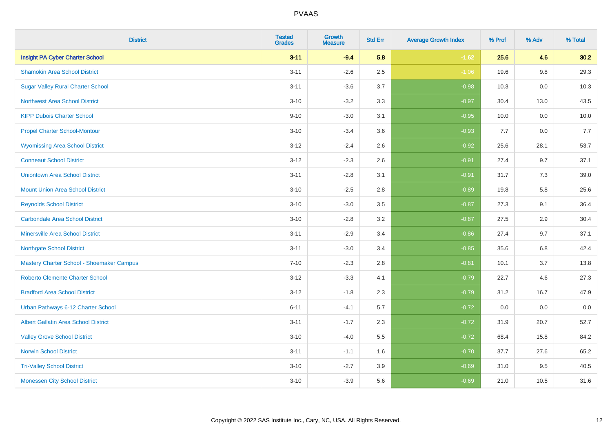| <b>District</b>                             | <b>Tested</b><br><b>Grades</b> | <b>Growth</b><br><b>Measure</b> | <b>Std Err</b> | <b>Average Growth Index</b> | % Prof | % Adv   | % Total |
|---------------------------------------------|--------------------------------|---------------------------------|----------------|-----------------------------|--------|---------|---------|
| <b>Insight PA Cyber Charter School</b>      | $3 - 11$                       | $-9.4$                          | 5.8            | $-1.62$                     | 25.6   | 4.6     | 30.2    |
| <b>Shamokin Area School District</b>        | $3 - 11$                       | $-2.6$                          | 2.5            | $-1.06$                     | 19.6   | $9.8\,$ | 29.3    |
| <b>Sugar Valley Rural Charter School</b>    | $3 - 11$                       | $-3.6$                          | 3.7            | $-0.98$                     | 10.3   | 0.0     | 10.3    |
| <b>Northwest Area School District</b>       | $3 - 10$                       | $-3.2$                          | 3.3            | $-0.97$                     | 30.4   | 13.0    | 43.5    |
| <b>KIPP Dubois Charter School</b>           | $9 - 10$                       | $-3.0$                          | 3.1            | $-0.95$                     | 10.0   | 0.0     | 10.0    |
| <b>Propel Charter School-Montour</b>        | $3 - 10$                       | $-3.4$                          | 3.6            | $-0.93$                     | 7.7    | 0.0     | 7.7     |
| <b>Wyomissing Area School District</b>      | $3 - 12$                       | $-2.4$                          | 2.6            | $-0.92$                     | 25.6   | 28.1    | 53.7    |
| <b>Conneaut School District</b>             | $3 - 12$                       | $-2.3$                          | 2.6            | $-0.91$                     | 27.4   | 9.7     | 37.1    |
| <b>Uniontown Area School District</b>       | $3 - 11$                       | $-2.8$                          | 3.1            | $-0.91$                     | 31.7   | 7.3     | 39.0    |
| <b>Mount Union Area School District</b>     | $3 - 10$                       | $-2.5$                          | 2.8            | $-0.89$                     | 19.8   | 5.8     | 25.6    |
| <b>Reynolds School District</b>             | $3 - 10$                       | $-3.0$                          | 3.5            | $-0.87$                     | 27.3   | 9.1     | 36.4    |
| <b>Carbondale Area School District</b>      | $3 - 10$                       | $-2.8$                          | 3.2            | $-0.87$                     | 27.5   | 2.9     | 30.4    |
| Minersville Area School District            | $3 - 11$                       | $-2.9$                          | 3.4            | $-0.86$                     | 27.4   | 9.7     | 37.1    |
| <b>Northgate School District</b>            | $3 - 11$                       | $-3.0$                          | 3.4            | $-0.85$                     | 35.6   | 6.8     | 42.4    |
| Mastery Charter School - Shoemaker Campus   | $7 - 10$                       | $-2.3$                          | 2.8            | $-0.81$                     | 10.1   | 3.7     | 13.8    |
| <b>Roberto Clemente Charter School</b>      | $3 - 12$                       | $-3.3$                          | 4.1            | $-0.79$                     | 22.7   | 4.6     | 27.3    |
| <b>Bradford Area School District</b>        | $3 - 12$                       | $-1.8$                          | 2.3            | $-0.79$                     | 31.2   | 16.7    | 47.9    |
| Urban Pathways 6-12 Charter School          | $6 - 11$                       | $-4.1$                          | 5.7            | $-0.72$                     | 0.0    | 0.0     | 0.0     |
| <b>Albert Gallatin Area School District</b> | $3 - 11$                       | $-1.7$                          | 2.3            | $-0.72$                     | 31.9   | 20.7    | 52.7    |
| <b>Valley Grove School District</b>         | $3 - 10$                       | $-4.0$                          | 5.5            | $-0.72$                     | 68.4   | 15.8    | 84.2    |
| <b>Norwin School District</b>               | $3 - 11$                       | $-1.1$                          | 1.6            | $-0.70$                     | 37.7   | 27.6    | 65.2    |
| <b>Tri-Valley School District</b>           | $3 - 10$                       | $-2.7$                          | 3.9            | $-0.69$                     | 31.0   | 9.5     | 40.5    |
| <b>Monessen City School District</b>        | $3 - 10$                       | $-3.9$                          | 5.6            | $-0.69$                     | 21.0   | 10.5    | 31.6    |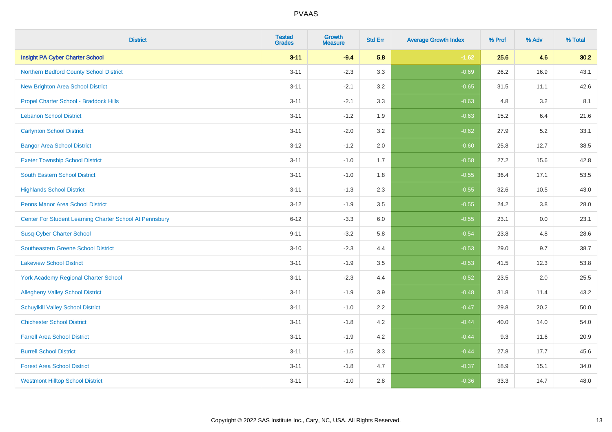| <b>District</b>                                         | <b>Tested</b><br><b>Grades</b> | <b>Growth</b><br><b>Measure</b> | <b>Std Err</b> | <b>Average Growth Index</b> | % Prof | % Adv | % Total |
|---------------------------------------------------------|--------------------------------|---------------------------------|----------------|-----------------------------|--------|-------|---------|
| <b>Insight PA Cyber Charter School</b>                  | $3 - 11$                       | $-9.4$                          | 5.8            | $-1.62$                     | 25.6   | 4.6   | 30.2    |
| Northern Bedford County School District                 | $3 - 11$                       | $-2.3$                          | 3.3            | $-0.69$                     | 26.2   | 16.9  | 43.1    |
| <b>New Brighton Area School District</b>                | $3 - 11$                       | $-2.1$                          | 3.2            | $-0.65$                     | 31.5   | 11.1  | 42.6    |
| Propel Charter School - Braddock Hills                  | $3 - 11$                       | $-2.1$                          | 3.3            | $-0.63$                     | 4.8    | 3.2   | 8.1     |
| <b>Lebanon School District</b>                          | $3 - 11$                       | $-1.2$                          | 1.9            | $-0.63$                     | 15.2   | 6.4   | 21.6    |
| <b>Carlynton School District</b>                        | $3 - 11$                       | $-2.0$                          | 3.2            | $-0.62$                     | 27.9   | 5.2   | 33.1    |
| <b>Bangor Area School District</b>                      | $3 - 12$                       | $-1.2$                          | 2.0            | $-0.60$                     | 25.8   | 12.7  | 38.5    |
| <b>Exeter Township School District</b>                  | $3 - 11$                       | $-1.0$                          | 1.7            | $-0.58$                     | 27.2   | 15.6  | 42.8    |
| <b>South Eastern School District</b>                    | $3 - 11$                       | $-1.0$                          | 1.8            | $-0.55$                     | 36.4   | 17.1  | 53.5    |
| <b>Highlands School District</b>                        | $3 - 11$                       | $-1.3$                          | 2.3            | $-0.55$                     | 32.6   | 10.5  | 43.0    |
| <b>Penns Manor Area School District</b>                 | $3 - 12$                       | $-1.9$                          | 3.5            | $-0.55$                     | 24.2   | 3.8   | 28.0    |
| Center For Student Learning Charter School At Pennsbury | $6 - 12$                       | $-3.3$                          | 6.0            | $-0.55$                     | 23.1   | 0.0   | 23.1    |
| <b>Susq-Cyber Charter School</b>                        | $9 - 11$                       | $-3.2$                          | 5.8            | $-0.54$                     | 23.8   | 4.8   | 28.6    |
| Southeastern Greene School District                     | $3 - 10$                       | $-2.3$                          | 4.4            | $-0.53$                     | 29.0   | 9.7   | 38.7    |
| <b>Lakeview School District</b>                         | $3 - 11$                       | $-1.9$                          | 3.5            | $-0.53$                     | 41.5   | 12.3  | 53.8    |
| <b>York Academy Regional Charter School</b>             | $3 - 11$                       | $-2.3$                          | 4.4            | $-0.52$                     | 23.5   | 2.0   | 25.5    |
| <b>Allegheny Valley School District</b>                 | $3 - 11$                       | $-1.9$                          | 3.9            | $-0.48$                     | 31.8   | 11.4  | 43.2    |
| <b>Schuylkill Valley School District</b>                | $3 - 11$                       | $-1.0$                          | 2.2            | $-0.47$                     | 29.8   | 20.2  | 50.0    |
| <b>Chichester School District</b>                       | $3 - 11$                       | $-1.8$                          | 4.2            | $-0.44$                     | 40.0   | 14.0  | 54.0    |
| <b>Farrell Area School District</b>                     | $3 - 11$                       | $-1.9$                          | 4.2            | $-0.44$                     | 9.3    | 11.6  | 20.9    |
| <b>Burrell School District</b>                          | $3 - 11$                       | $-1.5$                          | 3.3            | $-0.44$                     | 27.8   | 17.7  | 45.6    |
| <b>Forest Area School District</b>                      | $3 - 11$                       | $-1.8$                          | 4.7            | $-0.37$                     | 18.9   | 15.1  | 34.0    |
| <b>Westmont Hilltop School District</b>                 | $3 - 11$                       | $-1.0$                          | 2.8            | $-0.36$                     | 33.3   | 14.7  | 48.0    |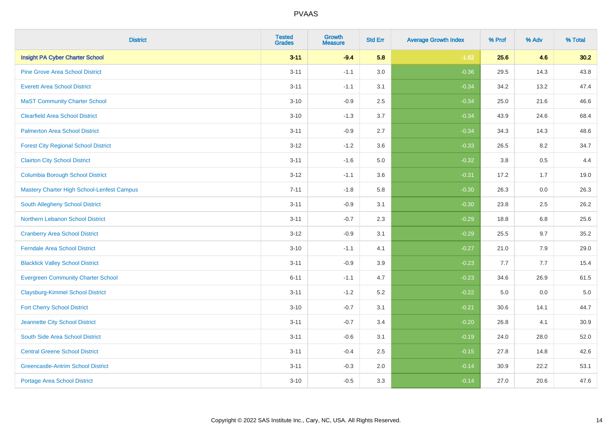| <b>District</b>                             | <b>Tested</b><br><b>Grades</b> | <b>Growth</b><br><b>Measure</b> | <b>Std Err</b> | <b>Average Growth Index</b> | % Prof | % Adv   | % Total |
|---------------------------------------------|--------------------------------|---------------------------------|----------------|-----------------------------|--------|---------|---------|
| <b>Insight PA Cyber Charter School</b>      | $3 - 11$                       | $-9.4$                          | 5.8            | $-1.62$                     | 25.6   | 4.6     | 30.2    |
| <b>Pine Grove Area School District</b>      | $3 - 11$                       | $-1.1$                          | 3.0            | $-0.36$                     | 29.5   | 14.3    | 43.8    |
| <b>Everett Area School District</b>         | $3 - 11$                       | $-1.1$                          | 3.1            | $-0.34$                     | 34.2   | 13.2    | 47.4    |
| <b>MaST Community Charter School</b>        | $3 - 10$                       | $-0.9$                          | 2.5            | $-0.34$                     | 25.0   | 21.6    | 46.6    |
| <b>Clearfield Area School District</b>      | $3 - 10$                       | $-1.3$                          | 3.7            | $-0.34$                     | 43.9   | 24.6    | 68.4    |
| <b>Palmerton Area School District</b>       | $3 - 11$                       | $-0.9$                          | 2.7            | $-0.34$                     | 34.3   | 14.3    | 48.6    |
| <b>Forest City Regional School District</b> | $3 - 12$                       | $-1.2$                          | 3.6            | $-0.33$                     | 26.5   | 8.2     | 34.7    |
| <b>Clairton City School District</b>        | $3 - 11$                       | $-1.6$                          | 5.0            | $-0.32$                     | 3.8    | 0.5     | 4.4     |
| <b>Columbia Borough School District</b>     | $3 - 12$                       | $-1.1$                          | 3.6            | $-0.31$                     | 17.2   | 1.7     | 19.0    |
| Mastery Charter High School-Lenfest Campus  | $7 - 11$                       | $-1.8$                          | 5.8            | $-0.30$                     | 26.3   | 0.0     | 26.3    |
| South Allegheny School District             | $3 - 11$                       | $-0.9$                          | 3.1            | $-0.30$                     | 23.8   | 2.5     | 26.2    |
| <b>Northern Lebanon School District</b>     | $3 - 11$                       | $-0.7$                          | 2.3            | $-0.29$                     | 18.8   | 6.8     | 25.6    |
| <b>Cranberry Area School District</b>       | $3 - 12$                       | $-0.9$                          | 3.1            | $-0.29$                     | 25.5   | 9.7     | 35.2    |
| <b>Ferndale Area School District</b>        | $3 - 10$                       | $-1.1$                          | 4.1            | $-0.27$                     | 21.0   | 7.9     | 29.0    |
| <b>Blacklick Valley School District</b>     | $3 - 11$                       | $-0.9$                          | 3.9            | $-0.23$                     | 7.7    | 7.7     | 15.4    |
| <b>Evergreen Community Charter School</b>   | $6 - 11$                       | $-1.1$                          | 4.7            | $-0.23$                     | 34.6   | 26.9    | 61.5    |
| <b>Claysburg-Kimmel School District</b>     | $3 - 11$                       | $-1.2$                          | 5.2            | $-0.22$                     | 5.0    | $0.0\,$ | $5.0$   |
| <b>Fort Cherry School District</b>          | $3 - 10$                       | $-0.7$                          | 3.1            | $-0.21$                     | 30.6   | 14.1    | 44.7    |
| Jeannette City School District              | $3 - 11$                       | $-0.7$                          | 3.4            | $-0.20$                     | 26.8   | 4.1     | 30.9    |
| South Side Area School District             | $3 - 11$                       | $-0.6$                          | 3.1            | $-0.19$                     | 24.0   | 28.0    | 52.0    |
| <b>Central Greene School District</b>       | $3 - 11$                       | $-0.4$                          | 2.5            | $-0.15$                     | 27.8   | 14.8    | 42.6    |
| <b>Greencastle-Antrim School District</b>   | $3 - 11$                       | $-0.3$                          | 2.0            | $-0.14$                     | 30.9   | 22.2    | 53.1    |
| <b>Portage Area School District</b>         | $3 - 10$                       | $-0.5$                          | 3.3            | $-0.14$                     | 27.0   | 20.6    | 47.6    |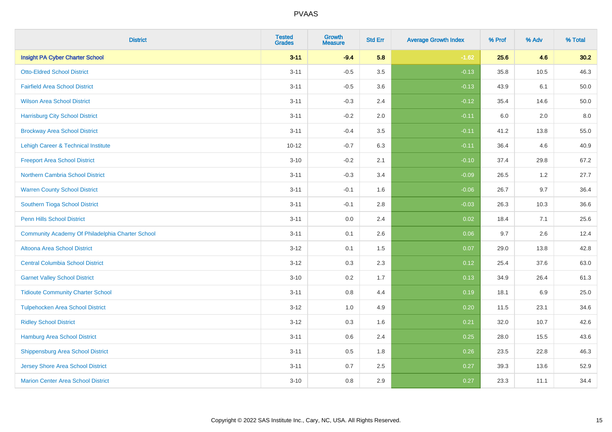| <b>District</b>                                  | <b>Tested</b><br><b>Grades</b> | <b>Growth</b><br><b>Measure</b> | <b>Std Err</b> | <b>Average Growth Index</b> | % Prof | % Adv | % Total |
|--------------------------------------------------|--------------------------------|---------------------------------|----------------|-----------------------------|--------|-------|---------|
| <b>Insight PA Cyber Charter School</b>           | $3 - 11$                       | $-9.4$                          | 5.8            | $-1.62$                     | 25.6   | 4.6   | 30.2    |
| <b>Otto-Eldred School District</b>               | $3 - 11$                       | $-0.5$                          | 3.5            | $-0.13$                     | 35.8   | 10.5  | 46.3    |
| <b>Fairfield Area School District</b>            | $3 - 11$                       | $-0.5$                          | 3.6            | $-0.13$                     | 43.9   | 6.1   | 50.0    |
| <b>Wilson Area School District</b>               | $3 - 11$                       | $-0.3$                          | 2.4            | $-0.12$                     | 35.4   | 14.6  | 50.0    |
| <b>Harrisburg City School District</b>           | $3 - 11$                       | $-0.2$                          | 2.0            | $-0.11$                     | 6.0    | 2.0   | 8.0     |
| <b>Brockway Area School District</b>             | $3 - 11$                       | $-0.4$                          | 3.5            | $-0.11$                     | 41.2   | 13.8  | 55.0    |
| Lehigh Career & Technical Institute              | $10 - 12$                      | $-0.7$                          | 6.3            | $-0.11$                     | 36.4   | 4.6   | 40.9    |
| <b>Freeport Area School District</b>             | $3 - 10$                       | $-0.2$                          | 2.1            | $-0.10$                     | 37.4   | 29.8  | 67.2    |
| Northern Cambria School District                 | $3 - 11$                       | $-0.3$                          | 3.4            | $-0.09$                     | 26.5   | 1.2   | 27.7    |
| <b>Warren County School District</b>             | $3 - 11$                       | $-0.1$                          | 1.6            | $-0.06$                     | 26.7   | 9.7   | 36.4    |
| Southern Tioga School District                   | $3 - 11$                       | $-0.1$                          | 2.8            | $-0.03$                     | 26.3   | 10.3  | 36.6    |
| <b>Penn Hills School District</b>                | $3 - 11$                       | 0.0                             | 2.4            | 0.02                        | 18.4   | 7.1   | 25.6    |
| Community Academy Of Philadelphia Charter School | $3 - 11$                       | 0.1                             | 2.6            | 0.06                        | 9.7    | 2.6   | 12.4    |
| Altoona Area School District                     | $3 - 12$                       | 0.1                             | 1.5            | 0.07                        | 29.0   | 13.8  | 42.8    |
| <b>Central Columbia School District</b>          | $3-12$                         | 0.3                             | 2.3            | 0.12                        | 25.4   | 37.6  | 63.0    |
| <b>Garnet Valley School District</b>             | $3 - 10$                       | 0.2                             | 1.7            | 0.13                        | 34.9   | 26.4  | 61.3    |
| <b>Tidioute Community Charter School</b>         | $3 - 11$                       | 0.8                             | 4.4            | 0.19                        | 18.1   | 6.9   | 25.0    |
| <b>Tulpehocken Area School District</b>          | $3-12$                         | 1.0                             | 4.9            | 0.20                        | 11.5   | 23.1  | 34.6    |
| <b>Ridley School District</b>                    | $3 - 12$                       | 0.3                             | 1.6            | 0.21                        | 32.0   | 10.7  | 42.6    |
| Hamburg Area School District                     | $3 - 11$                       | 0.6                             | 2.4            | 0.25                        | 28.0   | 15.5  | 43.6    |
| <b>Shippensburg Area School District</b>         | $3 - 11$                       | 0.5                             | 1.8            | 0.26                        | 23.5   | 22.8  | 46.3    |
| <b>Jersey Shore Area School District</b>         | $3 - 11$                       | 0.7                             | 2.5            | 0.27                        | 39.3   | 13.6  | 52.9    |
| <b>Marion Center Area School District</b>        | $3 - 10$                       | 0.8                             | 2.9            | 0.27                        | 23.3   | 11.1  | 34.4    |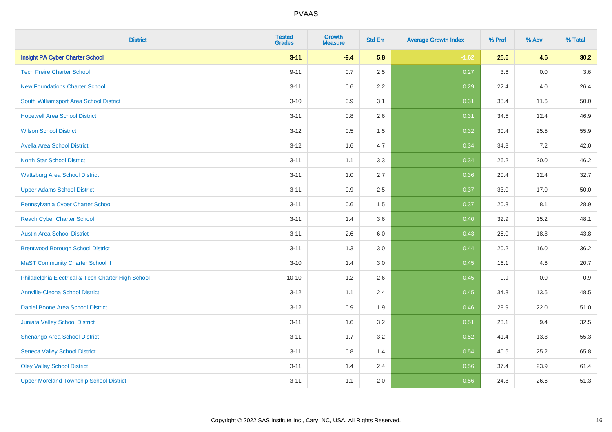| <b>District</b>                                    | <b>Tested</b><br><b>Grades</b> | <b>Growth</b><br><b>Measure</b> | <b>Std Err</b> | <b>Average Growth Index</b> | % Prof | % Adv   | % Total |
|----------------------------------------------------|--------------------------------|---------------------------------|----------------|-----------------------------|--------|---------|---------|
| <b>Insight PA Cyber Charter School</b>             | $3 - 11$                       | $-9.4$                          | 5.8            | $-1.62$                     | 25.6   | 4.6     | 30.2    |
| <b>Tech Freire Charter School</b>                  | $9 - 11$                       | 0.7                             | 2.5            | 0.27                        | 3.6    | $0.0\,$ | 3.6     |
| <b>New Foundations Charter School</b>              | $3 - 11$                       | 0.6                             | 2.2            | 0.29                        | 22.4   | 4.0     | 26.4    |
| South Williamsport Area School District            | $3 - 10$                       | 0.9                             | 3.1            | 0.31                        | 38.4   | 11.6    | 50.0    |
| <b>Hopewell Area School District</b>               | $3 - 11$                       | 0.8                             | 2.6            | 0.31                        | 34.5   | 12.4    | 46.9    |
| <b>Wilson School District</b>                      | $3 - 12$                       | 0.5                             | 1.5            | 0.32                        | 30.4   | 25.5    | 55.9    |
| <b>Avella Area School District</b>                 | $3-12$                         | 1.6                             | 4.7            | 0.34                        | 34.8   | $7.2\,$ | 42.0    |
| <b>North Star School District</b>                  | $3 - 11$                       | 1.1                             | 3.3            | 0.34                        | 26.2   | 20.0    | 46.2    |
| <b>Wattsburg Area School District</b>              | $3 - 11$                       | 1.0                             | 2.7            | 0.36                        | 20.4   | 12.4    | 32.7    |
| <b>Upper Adams School District</b>                 | $3 - 11$                       | 0.9                             | 2.5            | 0.37                        | 33.0   | 17.0    | 50.0    |
| Pennsylvania Cyber Charter School                  | $3 - 11$                       | 0.6                             | 1.5            | 0.37                        | 20.8   | 8.1     | 28.9    |
| <b>Reach Cyber Charter School</b>                  | $3 - 11$                       | 1.4                             | 3.6            | 0.40                        | 32.9   | 15.2    | 48.1    |
| <b>Austin Area School District</b>                 | $3 - 11$                       | 2.6                             | $6.0\,$        | 0.43                        | 25.0   | 18.8    | 43.8    |
| <b>Brentwood Borough School District</b>           | $3 - 11$                       | 1.3                             | 3.0            | 0.44                        | 20.2   | 16.0    | 36.2    |
| <b>MaST Community Charter School II</b>            | $3 - 10$                       | 1.4                             | 3.0            | 0.45                        | 16.1   | 4.6     | 20.7    |
| Philadelphia Electrical & Tech Charter High School | $10 - 10$                      | 1.2                             | 2.6            | 0.45                        | 0.9    | $0.0\,$ | 0.9     |
| <b>Annville-Cleona School District</b>             | $3-12$                         | 1.1                             | 2.4            | 0.45                        | 34.8   | 13.6    | 48.5    |
| Daniel Boone Area School District                  | $3 - 12$                       | 0.9                             | 1.9            | 0.46                        | 28.9   | 22.0    | 51.0    |
| Juniata Valley School District                     | $3 - 11$                       | 1.6                             | 3.2            | 0.51                        | 23.1   | 9.4     | 32.5    |
| Shenango Area School District                      | $3 - 11$                       | 1.7                             | 3.2            | 0.52                        | 41.4   | 13.8    | 55.3    |
| <b>Seneca Valley School District</b>               | $3 - 11$                       | 0.8                             | 1.4            | 0.54                        | 40.6   | 25.2    | 65.8    |
| <b>Oley Valley School District</b>                 | $3 - 11$                       | 1.4                             | 2.4            | 0.56                        | 37.4   | 23.9    | 61.4    |
| <b>Upper Moreland Township School District</b>     | $3 - 11$                       | 1.1                             | 2.0            | 0.56                        | 24.8   | 26.6    | 51.3    |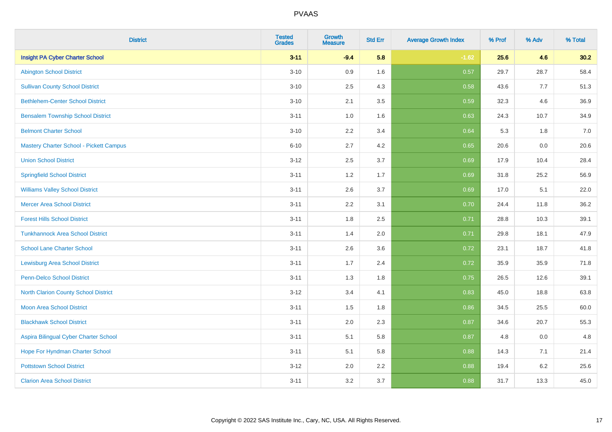| <b>District</b>                          | <b>Tested</b><br><b>Grades</b> | <b>Growth</b><br><b>Measure</b> | <b>Std Err</b> | <b>Average Growth Index</b> | % Prof | % Adv | % Total |
|------------------------------------------|--------------------------------|---------------------------------|----------------|-----------------------------|--------|-------|---------|
| <b>Insight PA Cyber Charter School</b>   | $3 - 11$                       | $-9.4$                          | 5.8            | $-1.62$                     | 25.6   | 4.6   | 30.2    |
| <b>Abington School District</b>          | $3 - 10$                       | 0.9                             | 1.6            | 0.57                        | 29.7   | 28.7  | 58.4    |
| <b>Sullivan County School District</b>   | $3 - 10$                       | 2.5                             | 4.3            | 0.58                        | 43.6   | 7.7   | 51.3    |
| <b>Bethlehem-Center School District</b>  | $3 - 10$                       | 2.1                             | 3.5            | 0.59                        | 32.3   | 4.6   | 36.9    |
| <b>Bensalem Township School District</b> | $3 - 11$                       | 1.0                             | 1.6            | 0.63                        | 24.3   | 10.7  | 34.9    |
| <b>Belmont Charter School</b>            | $3 - 10$                       | 2.2                             | 3.4            | 0.64                        | 5.3    | 1.8   | 7.0     |
| Mastery Charter School - Pickett Campus  | $6 - 10$                       | 2.7                             | 4.2            | 0.65                        | 20.6   | 0.0   | 20.6    |
| <b>Union School District</b>             | $3 - 12$                       | 2.5                             | 3.7            | 0.69                        | 17.9   | 10.4  | 28.4    |
| <b>Springfield School District</b>       | $3 - 11$                       | 1.2                             | 1.7            | 0.69                        | 31.8   | 25.2  | 56.9    |
| <b>Williams Valley School District</b>   | $3 - 11$                       | 2.6                             | 3.7            | 0.69                        | 17.0   | 5.1   | 22.0    |
| <b>Mercer Area School District</b>       | $3 - 11$                       | 2.2                             | 3.1            | 0.70                        | 24.4   | 11.8  | 36.2    |
| <b>Forest Hills School District</b>      | $3 - 11$                       | 1.8                             | 2.5            | 0.71                        | 28.8   | 10.3  | 39.1    |
| <b>Tunkhannock Area School District</b>  | $3 - 11$                       | 1.4                             | 2.0            | 0.71                        | 29.8   | 18.1  | 47.9    |
| <b>School Lane Charter School</b>        | $3 - 11$                       | 2.6                             | 3.6            | 0.72                        | 23.1   | 18.7  | 41.8    |
| <b>Lewisburg Area School District</b>    | $3 - 11$                       | 1.7                             | 2.4            | 0.72                        | 35.9   | 35.9  | 71.8    |
| Penn-Delco School District               | $3 - 11$                       | 1.3                             | 1.8            | 0.75                        | 26.5   | 12.6  | 39.1    |
| North Clarion County School District     | $3 - 12$                       | 3.4                             | 4.1            | 0.83                        | 45.0   | 18.8  | 63.8    |
| <b>Moon Area School District</b>         | $3 - 11$                       | 1.5                             | 1.8            | 0.86                        | 34.5   | 25.5  | 60.0    |
| <b>Blackhawk School District</b>         | $3 - 11$                       | 2.0                             | 2.3            | 0.87                        | 34.6   | 20.7  | 55.3    |
| Aspira Bilingual Cyber Charter School    | $3 - 11$                       | 5.1                             | 5.8            | 0.87                        | 4.8    | 0.0   | 4.8     |
| Hope For Hyndman Charter School          | $3 - 11$                       | 5.1                             | 5.8            | 0.88                        | 14.3   | 7.1   | 21.4    |
| <b>Pottstown School District</b>         | $3 - 12$                       | 2.0                             | 2.2            | 0.88                        | 19.4   | 6.2   | 25.6    |
| <b>Clarion Area School District</b>      | $3 - 11$                       | 3.2                             | 3.7            | 0.88                        | 31.7   | 13.3  | 45.0    |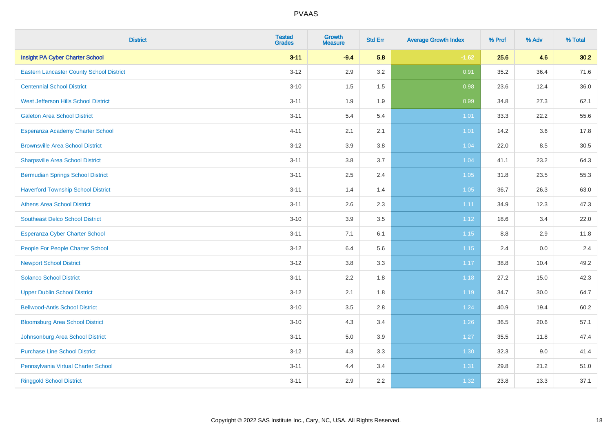| <b>District</b>                                 | <b>Tested</b><br><b>Grades</b> | <b>Growth</b><br><b>Measure</b> | <b>Std Err</b> | <b>Average Growth Index</b> | % Prof | % Adv   | % Total |
|-------------------------------------------------|--------------------------------|---------------------------------|----------------|-----------------------------|--------|---------|---------|
| <b>Insight PA Cyber Charter School</b>          | $3 - 11$                       | $-9.4$                          | 5.8            | $-1.62$                     | 25.6   | 4.6     | 30.2    |
| <b>Eastern Lancaster County School District</b> | $3 - 12$                       | 2.9                             | 3.2            | 0.91                        | 35.2   | 36.4    | 71.6    |
| <b>Centennial School District</b>               | $3 - 10$                       | 1.5                             | 1.5            | 0.98                        | 23.6   | 12.4    | 36.0    |
| West Jefferson Hills School District            | $3 - 11$                       | 1.9                             | 1.9            | 0.99                        | 34.8   | 27.3    | 62.1    |
| <b>Galeton Area School District</b>             | $3 - 11$                       | 5.4                             | 5.4            | 1.01                        | 33.3   | 22.2    | 55.6    |
| Esperanza Academy Charter School                | $4 - 11$                       | 2.1                             | 2.1            | 1.01                        | 14.2   | 3.6     | 17.8    |
| <b>Brownsville Area School District</b>         | $3 - 12$                       | 3.9                             | 3.8            | 1.04                        | 22.0   | 8.5     | 30.5    |
| <b>Sharpsville Area School District</b>         | $3 - 11$                       | 3.8                             | 3.7            | 1.04                        | 41.1   | 23.2    | 64.3    |
| <b>Bermudian Springs School District</b>        | $3 - 11$                       | 2.5                             | 2.4            | 1.05                        | 31.8   | 23.5    | 55.3    |
| <b>Haverford Township School District</b>       | $3 - 11$                       | 1.4                             | 1.4            | 1.05                        | 36.7   | 26.3    | 63.0    |
| <b>Athens Area School District</b>              | $3 - 11$                       | 2.6                             | 2.3            | 1.11                        | 34.9   | 12.3    | 47.3    |
| <b>Southeast Delco School District</b>          | $3 - 10$                       | 3.9                             | 3.5            | 1.12                        | 18.6   | 3.4     | 22.0    |
| Esperanza Cyber Charter School                  | $3 - 11$                       | 7.1                             | 6.1            | 1.15                        | 8.8    | 2.9     | 11.8    |
| People For People Charter School                | $3 - 12$                       | 6.4                             | 5.6            | 1.15                        | 2.4    | $0.0\,$ | 2.4     |
| <b>Newport School District</b>                  | $3 - 12$                       | 3.8                             | 3.3            | 1.17                        | 38.8   | 10.4    | 49.2    |
| <b>Solanco School District</b>                  | $3 - 11$                       | 2.2                             | 1.8            | 1.18                        | 27.2   | 15.0    | 42.3    |
| <b>Upper Dublin School District</b>             | $3-12$                         | 2.1                             | 1.8            | 1.19                        | 34.7   | 30.0    | 64.7    |
| <b>Bellwood-Antis School District</b>           | $3 - 10$                       | 3.5                             | 2.8            | 1.24                        | 40.9   | 19.4    | 60.2    |
| <b>Bloomsburg Area School District</b>          | $3 - 10$                       | 4.3                             | 3.4            | 1.26                        | 36.5   | 20.6    | 57.1    |
| Johnsonburg Area School District                | $3 - 11$                       | 5.0                             | 3.9            | $1.27$                      | 35.5   | 11.8    | 47.4    |
| <b>Purchase Line School District</b>            | $3 - 12$                       | 4.3                             | 3.3            | 1.30                        | 32.3   | 9.0     | 41.4    |
| Pennsylvania Virtual Charter School             | $3 - 11$                       | 4.4                             | 3.4            | 1.31                        | 29.8   | 21.2    | 51.0    |
| <b>Ringgold School District</b>                 | $3 - 11$                       | 2.9                             | 2.2            | 1.32                        | 23.8   | 13.3    | 37.1    |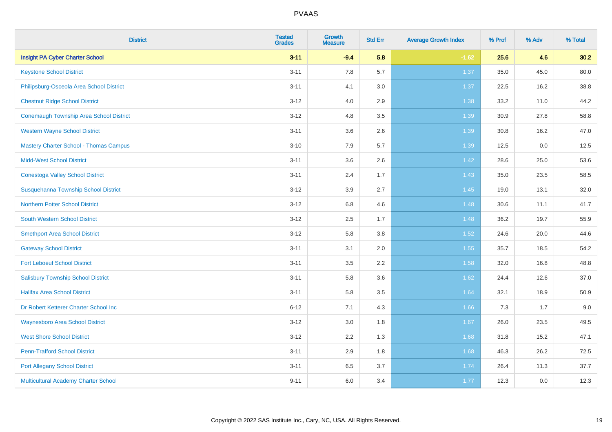| <b>District</b>                                | <b>Tested</b><br><b>Grades</b> | <b>Growth</b><br><b>Measure</b> | <b>Std Err</b> | <b>Average Growth Index</b> | % Prof | % Adv | % Total |
|------------------------------------------------|--------------------------------|---------------------------------|----------------|-----------------------------|--------|-------|---------|
| <b>Insight PA Cyber Charter School</b>         | $3 - 11$                       | $-9.4$                          | 5.8            | $-1.62$                     | 25.6   | 4.6   | 30.2    |
| <b>Keystone School District</b>                | $3 - 11$                       | 7.8                             | 5.7            | 1.37                        | 35.0   | 45.0  | 80.0    |
| Philipsburg-Osceola Area School District       | $3 - 11$                       | 4.1                             | 3.0            | 1.37                        | 22.5   | 16.2  | 38.8    |
| <b>Chestnut Ridge School District</b>          | $3 - 12$                       | 4.0                             | 2.9            | 1.38                        | 33.2   | 11.0  | 44.2    |
| <b>Conemaugh Township Area School District</b> | $3 - 12$                       | 4.8                             | 3.5            | 1.39                        | 30.9   | 27.8  | 58.8    |
| <b>Western Wayne School District</b>           | $3 - 11$                       | 3.6                             | 2.6            | 1.39                        | 30.8   | 16.2  | 47.0    |
| <b>Mastery Charter School - Thomas Campus</b>  | $3 - 10$                       | 7.9                             | 5.7            | 1.39                        | 12.5   | 0.0   | 12.5    |
| <b>Midd-West School District</b>               | $3 - 11$                       | 3.6                             | 2.6            | 1.42                        | 28.6   | 25.0  | 53.6    |
| <b>Conestoga Valley School District</b>        | $3 - 11$                       | 2.4                             | 1.7            | 1.43                        | 35.0   | 23.5  | 58.5    |
| Susquehanna Township School District           | $3 - 12$                       | 3.9                             | 2.7            | 1.45                        | 19.0   | 13.1  | 32.0    |
| <b>Northern Potter School District</b>         | $3 - 12$                       | $6.8\,$                         | 4.6            | 1.48                        | 30.6   | 11.1  | 41.7    |
| South Western School District                  | $3 - 12$                       | 2.5                             | 1.7            | 1.48                        | 36.2   | 19.7  | 55.9    |
| <b>Smethport Area School District</b>          | $3 - 12$                       | 5.8                             | 3.8            | 1.52                        | 24.6   | 20.0  | 44.6    |
| <b>Gateway School District</b>                 | $3 - 11$                       | 3.1                             | 2.0            | 1.55                        | 35.7   | 18.5  | 54.2    |
| <b>Fort Leboeuf School District</b>            | $3 - 11$                       | 3.5                             | 2.2            | 1.58                        | 32.0   | 16.8  | 48.8    |
| <b>Salisbury Township School District</b>      | $3 - 11$                       | 5.8                             | 3.6            | 1.62                        | 24.4   | 12.6  | 37.0    |
| <b>Halifax Area School District</b>            | $3 - 11$                       | 5.8                             | 3.5            | 1.64                        | 32.1   | 18.9  | 50.9    |
| Dr Robert Ketterer Charter School Inc          | $6 - 12$                       | 7.1                             | 4.3            | 1.66                        | 7.3    | 1.7   | 9.0     |
| <b>Waynesboro Area School District</b>         | $3 - 12$                       | 3.0                             | 1.8            | 1.67                        | 26.0   | 23.5  | 49.5    |
| <b>West Shore School District</b>              | $3 - 12$                       | 2.2                             | 1.3            | 1.68                        | 31.8   | 15.2  | 47.1    |
| <b>Penn-Trafford School District</b>           | $3 - 11$                       | 2.9                             | 1.8            | 1.68                        | 46.3   | 26.2  | 72.5    |
| <b>Port Allegany School District</b>           | $3 - 11$                       | 6.5                             | 3.7            | 1.74                        | 26.4   | 11.3  | 37.7    |
| Multicultural Academy Charter School           | $9 - 11$                       | 6.0                             | 3.4            | 1.77                        | 12.3   | 0.0   | 12.3    |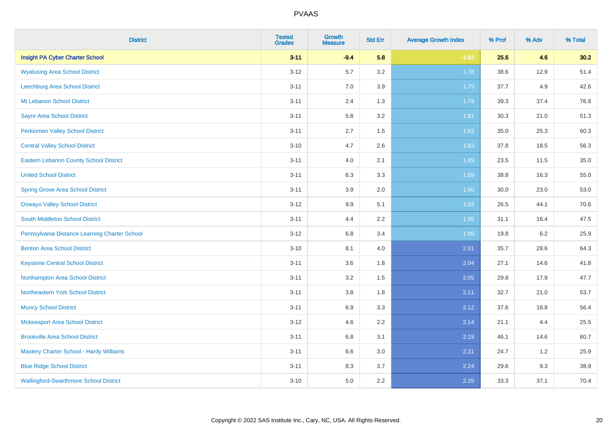| <b>District</b>                               | <b>Tested</b><br><b>Grades</b> | <b>Growth</b><br><b>Measure</b> | <b>Std Err</b> | <b>Average Growth Index</b> | % Prof | % Adv   | % Total |
|-----------------------------------------------|--------------------------------|---------------------------------|----------------|-----------------------------|--------|---------|---------|
| <b>Insight PA Cyber Charter School</b>        | $3 - 11$                       | $-9.4$                          | 5.8            | $-1.62$                     | 25.6   | 4.6     | 30.2    |
| <b>Wyalusing Area School District</b>         | $3 - 12$                       | 5.7                             | $3.2\,$        | 1.78                        | 38.6   | 12.9    | 51.4    |
| Leechburg Area School District                | $3 - 11$                       | 7.0                             | 3.9            | 1.79                        | 37.7   | 4.9     | 42.6    |
| Mt Lebanon School District                    | $3 - 11$                       | 2.4                             | 1.3            | 1.79                        | 39.3   | 37.4    | 76.8    |
| <b>Sayre Area School District</b>             | $3 - 11$                       | 5.8                             | 3.2            | 1.81                        | 30.3   | 21.0    | 51.3    |
| <b>Perkiomen Valley School District</b>       | $3 - 11$                       | 2.7                             | 1.5            | 1.83                        | 35.0   | 25.3    | 60.3    |
| <b>Central Valley School District</b>         | $3 - 10$                       | 4.7                             | 2.6            | 1.83                        | 37.8   | 18.5    | 56.3    |
| <b>Eastern Lebanon County School District</b> | $3 - 11$                       | 4.0                             | 2.1            | 1.89                        | 23.5   | 11.5    | 35.0    |
| <b>United School District</b>                 | $3 - 11$                       | 6.3                             | 3.3            | 1.89                        | 38.8   | 16.3    | 55.0    |
| <b>Spring Grove Area School District</b>      | $3 - 11$                       | 3.9                             | 2.0            | 1.90                        | 30.0   | 23.0    | 53.0    |
| <b>Oswayo Valley School District</b>          | $3 - 12$                       | 9.9                             | 5.1            | 1.93                        | 26.5   | 44.1    | 70.6    |
| South Middleton School District               | $3 - 11$                       | 4.4                             | 2.2            | 1.95                        | 31.1   | 16.4    | 47.5    |
| Pennsylvania Distance Learning Charter School | $3 - 12$                       | 6.8                             | 3.4            | 1.99                        | 19.8   | $6.2\,$ | 25.9    |
| <b>Benton Area School District</b>            | $3 - 10$                       | 8.1                             | 4.0            | 2.01                        | 35.7   | 28.6    | 64.3    |
| <b>Keystone Central School District</b>       | $3 - 11$                       | 3.6                             | 1.8            | 2.04                        | 27.1   | 14.6    | 41.8    |
| Northampton Area School District              | $3 - 11$                       | 3.2                             | 1.5            | 2.05                        | 29.8   | 17.9    | 47.7    |
| Northeastern York School District             | $3 - 11$                       | 3.8                             | 1.8            | 2.11                        | 32.7   | 21.0    | 53.7    |
| <b>Muncy School District</b>                  | $3 - 11$                       | 6.9                             | 3.3            | 2.12                        | 37.6   | 18.8    | 56.4    |
| <b>Mckeesport Area School District</b>        | $3 - 12$                       | 4.6                             | 2.2            | 2.14                        | 21.1   | 4.4     | 25.5    |
| <b>Brookville Area School District</b>        | $3 - 11$                       | 6.8                             | 3.1            | 2.19                        | 46.1   | 14.6    | 60.7    |
| Mastery Charter School - Hardy Williams       | $3 - 11$                       | 6.6                             | 3.0            | 2.21                        | 24.7   | 1.2     | 25.9    |
| <b>Blue Ridge School District</b>             | $3 - 11$                       | 8.3                             | 3.7            | 2.24                        | 29.6   | 9.3     | 38.9    |
| <b>Wallingford-Swarthmore School District</b> | $3 - 10$                       | 5.0                             | 2.2            | 2.25                        | 33.3   | 37.1    | 70.4    |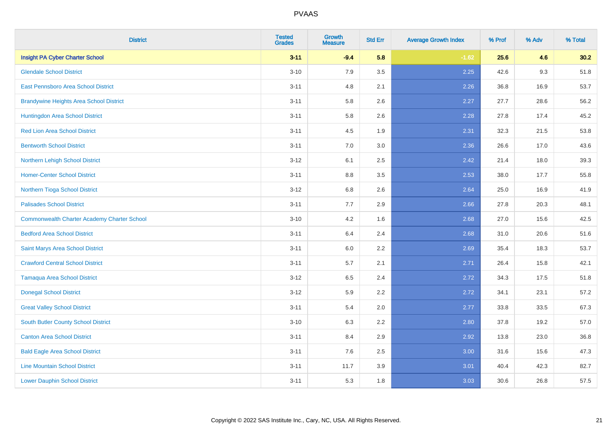| <b>District</b>                                    | <b>Tested</b><br><b>Grades</b> | <b>Growth</b><br><b>Measure</b> | <b>Std Err</b> | <b>Average Growth Index</b> | % Prof | % Adv | % Total |
|----------------------------------------------------|--------------------------------|---------------------------------|----------------|-----------------------------|--------|-------|---------|
| <b>Insight PA Cyber Charter School</b>             | $3 - 11$                       | $-9.4$                          | 5.8            | $-1.62$                     | 25.6   | 4.6   | 30.2    |
| <b>Glendale School District</b>                    | $3 - 10$                       | 7.9                             | 3.5            | 2.25                        | 42.6   | 9.3   | 51.8    |
| <b>East Pennsboro Area School District</b>         | $3 - 11$                       | 4.8                             | 2.1            | 2.26                        | 36.8   | 16.9  | 53.7    |
| <b>Brandywine Heights Area School District</b>     | $3 - 11$                       | 5.8                             | 2.6            | 2.27                        | 27.7   | 28.6  | 56.2    |
| Huntingdon Area School District                    | $3 - 11$                       | 5.8                             | 2.6            | 2.28                        | 27.8   | 17.4  | 45.2    |
| <b>Red Lion Area School District</b>               | $3 - 11$                       | 4.5                             | 1.9            | 2.31                        | 32.3   | 21.5  | 53.8    |
| <b>Bentworth School District</b>                   | $3 - 11$                       | 7.0                             | 3.0            | 2.36                        | 26.6   | 17.0  | 43.6    |
| Northern Lehigh School District                    | $3 - 12$                       | 6.1                             | 2.5            | 2.42                        | 21.4   | 18.0  | 39.3    |
| <b>Homer-Center School District</b>                | $3 - 11$                       | 8.8                             | 3.5            | 2.53                        | 38.0   | 17.7  | 55.8    |
| Northern Tioga School District                     | $3 - 12$                       | 6.8                             | 2.6            | 2.64                        | 25.0   | 16.9  | 41.9    |
| <b>Palisades School District</b>                   | $3 - 11$                       | 7.7                             | 2.9            | 2.66                        | 27.8   | 20.3  | 48.1    |
| <b>Commonwealth Charter Academy Charter School</b> | $3 - 10$                       | 4.2                             | 1.6            | 2.68                        | 27.0   | 15.6  | 42.5    |
| <b>Bedford Area School District</b>                | $3 - 11$                       | 6.4                             | 2.4            | 2.68                        | 31.0   | 20.6  | 51.6    |
| Saint Marys Area School District                   | $3 - 11$                       | 6.0                             | 2.2            | 2.69                        | 35.4   | 18.3  | 53.7    |
| <b>Crawford Central School District</b>            | $3 - 11$                       | 5.7                             | 2.1            | 2.71                        | 26.4   | 15.8  | 42.1    |
| <b>Tamaqua Area School District</b>                | $3-12$                         | 6.5                             | 2.4            | 2.72                        | 34.3   | 17.5  | 51.8    |
| <b>Donegal School District</b>                     | $3-12$                         | 5.9                             | 2.2            | 2.72                        | 34.1   | 23.1  | 57.2    |
| <b>Great Valley School District</b>                | $3 - 11$                       | 5.4                             | 2.0            | 2.77                        | 33.8   | 33.5  | 67.3    |
| South Butler County School District                | $3 - 10$                       | 6.3                             | 2.2            | 2.80                        | 37.8   | 19.2  | 57.0    |
| <b>Canton Area School District</b>                 | $3 - 11$                       | 8.4                             | 2.9            | 2.92                        | 13.8   | 23.0  | 36.8    |
| <b>Bald Eagle Area School District</b>             | $3 - 11$                       | 7.6                             | 2.5            | 3.00                        | 31.6   | 15.6  | 47.3    |
| <b>Line Mountain School District</b>               | $3 - 11$                       | 11.7                            | 3.9            | 3.01                        | 40.4   | 42.3  | 82.7    |
| <b>Lower Dauphin School District</b>               | $3 - 11$                       | 5.3                             | 1.8            | 3.03                        | 30.6   | 26.8  | 57.5    |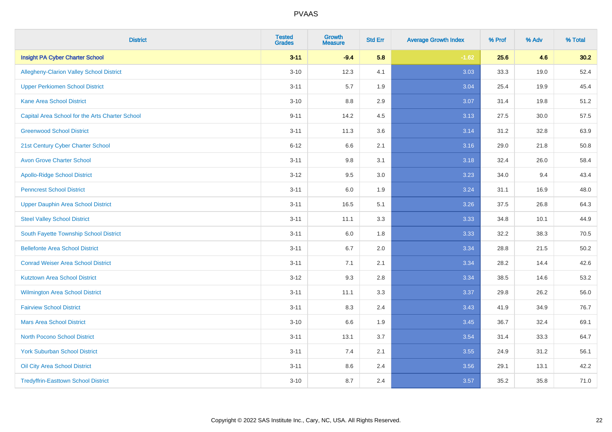| <b>District</b>                                 | <b>Tested</b><br><b>Grades</b> | <b>Growth</b><br><b>Measure</b> | <b>Std Err</b> | <b>Average Growth Index</b> | % Prof | % Adv | % Total |
|-------------------------------------------------|--------------------------------|---------------------------------|----------------|-----------------------------|--------|-------|---------|
| <b>Insight PA Cyber Charter School</b>          | $3 - 11$                       | $-9.4$                          | 5.8            | $-1.62$                     | 25.6   | 4.6   | 30.2    |
| Allegheny-Clarion Valley School District        | $3 - 10$                       | 12.3                            | 4.1            | 3.03                        | 33.3   | 19.0  | 52.4    |
| <b>Upper Perkiomen School District</b>          | $3 - 11$                       | 5.7                             | 1.9            | 3.04                        | 25.4   | 19.9  | 45.4    |
| <b>Kane Area School District</b>                | $3 - 10$                       | 8.8                             | 2.9            | 3.07                        | 31.4   | 19.8  | 51.2    |
| Capital Area School for the Arts Charter School | $9 - 11$                       | 14.2                            | 4.5            | 3.13                        | 27.5   | 30.0  | 57.5    |
| <b>Greenwood School District</b>                | $3 - 11$                       | 11.3                            | 3.6            | 3.14                        | 31.2   | 32.8  | 63.9    |
| 21st Century Cyber Charter School               | $6 - 12$                       | 6.6                             | 2.1            | 3.16                        | 29.0   | 21.8  | 50.8    |
| <b>Avon Grove Charter School</b>                | $3 - 11$                       | $9.8\,$                         | 3.1            | 3.18                        | 32.4   | 26.0  | 58.4    |
| <b>Apollo-Ridge School District</b>             | $3 - 12$                       | 9.5                             | 3.0            | 3.23                        | 34.0   | 9.4   | 43.4    |
| <b>Penncrest School District</b>                | $3 - 11$                       | 6.0                             | 1.9            | 3.24                        | 31.1   | 16.9  | 48.0    |
| Upper Dauphin Area School District              | $3 - 11$                       | 16.5                            | 5.1            | 3.26                        | 37.5   | 26.8  | 64.3    |
| <b>Steel Valley School District</b>             | $3 - 11$                       | 11.1                            | 3.3            | 3.33                        | 34.8   | 10.1  | 44.9    |
| South Fayette Township School District          | $3 - 11$                       | 6.0                             | 1.8            | 3.33                        | 32.2   | 38.3  | 70.5    |
| <b>Bellefonte Area School District</b>          | $3 - 11$                       | 6.7                             | 2.0            | 3.34                        | 28.8   | 21.5  | 50.2    |
| <b>Conrad Weiser Area School District</b>       | $3 - 11$                       | 7.1                             | 2.1            | 3.34                        | 28.2   | 14.4  | 42.6    |
| <b>Kutztown Area School District</b>            | $3-12$                         | 9.3                             | 2.8            | 3.34                        | 38.5   | 14.6  | 53.2    |
| Wilmington Area School District                 | $3 - 11$                       | 11.1                            | 3.3            | 3.37                        | 29.8   | 26.2  | 56.0    |
| <b>Fairview School District</b>                 | $3 - 11$                       | 8.3                             | 2.4            | 3.43                        | 41.9   | 34.9  | 76.7    |
| <b>Mars Area School District</b>                | $3 - 10$                       | 6.6                             | 1.9            | 3.45                        | 36.7   | 32.4  | 69.1    |
| <b>North Pocono School District</b>             | $3 - 11$                       | 13.1                            | 3.7            | 3.54                        | 31.4   | 33.3  | 64.7    |
| <b>York Suburban School District</b>            | $3 - 11$                       | 7.4                             | 2.1            | 3.55                        | 24.9   | 31.2  | 56.1    |
| <b>Oil City Area School District</b>            | $3 - 11$                       | $8.6\,$                         | 2.4            | 3.56                        | 29.1   | 13.1  | 42.2    |
| <b>Tredyffrin-Easttown School District</b>      | $3 - 10$                       | 8.7                             | 2.4            | 3.57                        | 35.2   | 35.8  | 71.0    |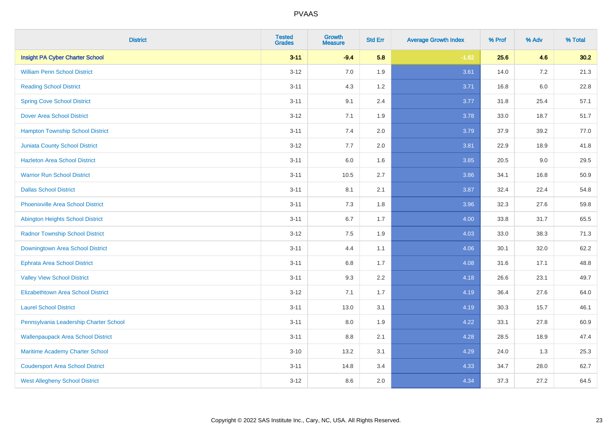| <b>District</b>                           | <b>Tested</b><br><b>Grades</b> | <b>Growth</b><br><b>Measure</b> | <b>Std Err</b> | <b>Average Growth Index</b> | % Prof | % Adv   | % Total |
|-------------------------------------------|--------------------------------|---------------------------------|----------------|-----------------------------|--------|---------|---------|
| <b>Insight PA Cyber Charter School</b>    | $3 - 11$                       | $-9.4$                          | 5.8            | $-1.62$                     | 25.6   | 4.6     | 30.2    |
| <b>William Penn School District</b>       | $3 - 12$                       | 7.0                             | 1.9            | 3.61                        | 14.0   | 7.2     | 21.3    |
| <b>Reading School District</b>            | $3 - 11$                       | 4.3                             | 1.2            | 3.71                        | 16.8   | $6.0\,$ | 22.8    |
| <b>Spring Cove School District</b>        | $3 - 11$                       | 9.1                             | 2.4            | 3.77                        | 31.8   | 25.4    | 57.1    |
| <b>Dover Area School District</b>         | $3 - 12$                       | 7.1                             | 1.9            | 3.78                        | 33.0   | 18.7    | 51.7    |
| <b>Hampton Township School District</b>   | $3 - 11$                       | 7.4                             | 2.0            | 3.79                        | 37.9   | 39.2    | 77.0    |
| <b>Juniata County School District</b>     | $3 - 12$                       | 7.7                             | 2.0            | 3.81                        | 22.9   | 18.9    | 41.8    |
| <b>Hazleton Area School District</b>      | $3 - 11$                       | 6.0                             | 1.6            | 3.85                        | 20.5   | 9.0     | 29.5    |
| <b>Warrior Run School District</b>        | $3 - 11$                       | 10.5                            | 2.7            | 3.86                        | 34.1   | 16.8    | 50.9    |
| <b>Dallas School District</b>             | $3 - 11$                       | 8.1                             | 2.1            | 3.87                        | 32.4   | 22.4    | 54.8    |
| <b>Phoenixville Area School District</b>  | $3 - 11$                       | 7.3                             | 1.8            | 3.96                        | 32.3   | 27.6    | 59.8    |
| Abington Heights School District          | $3 - 11$                       | 6.7                             | 1.7            | 4.00                        | 33.8   | 31.7    | 65.5    |
| <b>Radnor Township School District</b>    | $3 - 12$                       | 7.5                             | 1.9            | 4.03                        | 33.0   | 38.3    | 71.3    |
| Downingtown Area School District          | $3 - 11$                       | 4.4                             | 1.1            | 4.06                        | 30.1   | 32.0    | 62.2    |
| <b>Ephrata Area School District</b>       | $3 - 11$                       | 6.8                             | 1.7            | 4.08                        | 31.6   | 17.1    | 48.8    |
| <b>Valley View School District</b>        | $3 - 11$                       | 9.3                             | 2.2            | 4.18                        | 26.6   | 23.1    | 49.7    |
| <b>Elizabethtown Area School District</b> | $3 - 12$                       | 7.1                             | 1.7            | 4.19                        | 36.4   | 27.6    | 64.0    |
| <b>Laurel School District</b>             | $3 - 11$                       | 13.0                            | 3.1            | 4.19                        | 30.3   | 15.7    | 46.1    |
| Pennsylvania Leadership Charter School    | $3 - 11$                       | 8.0                             | 1.9            | 4.22                        | 33.1   | 27.8    | 60.9    |
| <b>Wallenpaupack Area School District</b> | $3 - 11$                       | 8.8                             | 2.1            | 4.28                        | 28.5   | 18.9    | 47.4    |
| Maritime Academy Charter School           | $3 - 10$                       | 13.2                            | 3.1            | 4.29                        | 24.0   | 1.3     | 25.3    |
| <b>Coudersport Area School District</b>   | $3 - 11$                       | 14.8                            | 3.4            | 4.33                        | 34.7   | 28.0    | 62.7    |
| <b>West Allegheny School District</b>     | $3 - 12$                       | 8.6                             | 2.0            | 4.34                        | 37.3   | 27.2    | 64.5    |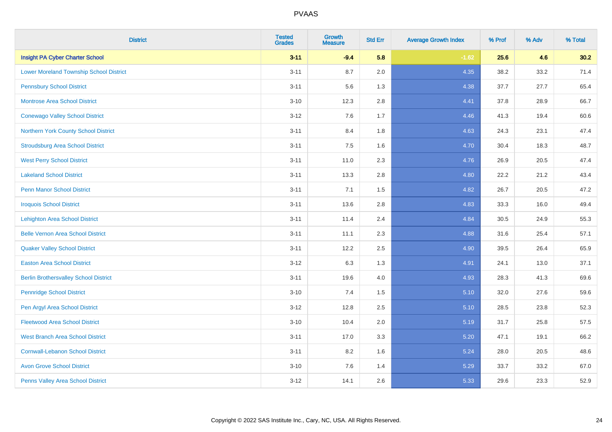| <b>District</b>                                | <b>Tested</b><br><b>Grades</b> | <b>Growth</b><br><b>Measure</b> | <b>Std Err</b> | <b>Average Growth Index</b> | % Prof | % Adv | % Total |
|------------------------------------------------|--------------------------------|---------------------------------|----------------|-----------------------------|--------|-------|---------|
| <b>Insight PA Cyber Charter School</b>         | $3 - 11$                       | $-9.4$                          | 5.8            | $-1.62$                     | 25.6   | 4.6   | 30.2    |
| <b>Lower Moreland Township School District</b> | $3 - 11$                       | 8.7                             | 2.0            | 4.35                        | 38.2   | 33.2  | 71.4    |
| <b>Pennsbury School District</b>               | $3 - 11$                       | 5.6                             | 1.3            | 4.38                        | 37.7   | 27.7  | 65.4    |
| <b>Montrose Area School District</b>           | $3 - 10$                       | 12.3                            | 2.8            | 4.41                        | 37.8   | 28.9  | 66.7    |
| <b>Conewago Valley School District</b>         | $3 - 12$                       | 7.6                             | 1.7            | 4.46                        | 41.3   | 19.4  | 60.6    |
| Northern York County School District           | $3 - 11$                       | 8.4                             | 1.8            | 4.63                        | 24.3   | 23.1  | 47.4    |
| <b>Stroudsburg Area School District</b>        | $3 - 11$                       | 7.5                             | 1.6            | 4.70                        | 30.4   | 18.3  | 48.7    |
| <b>West Perry School District</b>              | $3 - 11$                       | 11.0                            | 2.3            | 4.76                        | 26.9   | 20.5  | 47.4    |
| <b>Lakeland School District</b>                | $3 - 11$                       | 13.3                            | 2.8            | 4.80                        | 22.2   | 21.2  | 43.4    |
| <b>Penn Manor School District</b>              | $3 - 11$                       | 7.1                             | 1.5            | 4.82                        | 26.7   | 20.5  | 47.2    |
| <b>Iroquois School District</b>                | $3 - 11$                       | 13.6                            | 2.8            | 4.83                        | 33.3   | 16.0  | 49.4    |
| <b>Lehighton Area School District</b>          | $3 - 11$                       | 11.4                            | 2.4            | 4.84                        | 30.5   | 24.9  | 55.3    |
| <b>Belle Vernon Area School District</b>       | $3 - 11$                       | 11.1                            | 2.3            | 4.88                        | 31.6   | 25.4  | 57.1    |
| <b>Quaker Valley School District</b>           | $3 - 11$                       | 12.2                            | 2.5            | 4.90                        | 39.5   | 26.4  | 65.9    |
| <b>Easton Area School District</b>             | $3 - 12$                       | 6.3                             | 1.3            | 4.91                        | 24.1   | 13.0  | 37.1    |
| <b>Berlin Brothersvalley School District</b>   | $3 - 11$                       | 19.6                            | 4.0            | 4.93                        | 28.3   | 41.3  | 69.6    |
| <b>Pennridge School District</b>               | $3 - 10$                       | 7.4                             | 1.5            | 5.10                        | 32.0   | 27.6  | 59.6    |
| Pen Argyl Area School District                 | $3 - 12$                       | 12.8                            | 2.5            | 5.10                        | 28.5   | 23.8  | 52.3    |
| <b>Fleetwood Area School District</b>          | $3 - 10$                       | 10.4                            | 2.0            | 5.19                        | 31.7   | 25.8  | 57.5    |
| <b>West Branch Area School District</b>        | $3 - 11$                       | 17.0                            | 3.3            | 5.20                        | 47.1   | 19.1  | 66.2    |
| <b>Cornwall-Lebanon School District</b>        | $3 - 11$                       | 8.2                             | 1.6            | 5.24                        | 28.0   | 20.5  | 48.6    |
| <b>Avon Grove School District</b>              | $3 - 10$                       | 7.6                             | 1.4            | 5.29                        | 33.7   | 33.2  | 67.0    |
| Penns Valley Area School District              | $3 - 12$                       | 14.1                            | 2.6            | 5.33                        | 29.6   | 23.3  | 52.9    |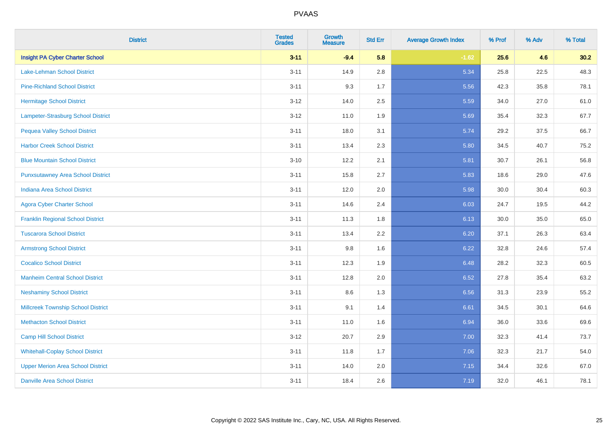| <b>District</b>                           | <b>Tested</b><br><b>Grades</b> | <b>Growth</b><br><b>Measure</b> | <b>Std Err</b> | <b>Average Growth Index</b> | % Prof | % Adv | % Total |
|-------------------------------------------|--------------------------------|---------------------------------|----------------|-----------------------------|--------|-------|---------|
| <b>Insight PA Cyber Charter School</b>    | $3 - 11$                       | $-9.4$                          | 5.8            | $-1.62$                     | 25.6   | 4.6   | 30.2    |
| Lake-Lehman School District               | $3 - 11$                       | 14.9                            | 2.8            | 5.34                        | 25.8   | 22.5  | 48.3    |
| <b>Pine-Richland School District</b>      | $3 - 11$                       | 9.3                             | 1.7            | 5.56                        | 42.3   | 35.8  | 78.1    |
| <b>Hermitage School District</b>          | $3 - 12$                       | 14.0                            | 2.5            | 5.59                        | 34.0   | 27.0  | 61.0    |
| <b>Lampeter-Strasburg School District</b> | $3-12$                         | 11.0                            | 1.9            | 5.69                        | 35.4   | 32.3  | 67.7    |
| <b>Pequea Valley School District</b>      | $3 - 11$                       | 18.0                            | 3.1            | 5.74                        | 29.2   | 37.5  | 66.7    |
| <b>Harbor Creek School District</b>       | $3 - 11$                       | 13.4                            | 2.3            | 5.80                        | 34.5   | 40.7  | 75.2    |
| <b>Blue Mountain School District</b>      | $3 - 10$                       | 12.2                            | 2.1            | 5.81                        | 30.7   | 26.1  | 56.8    |
| <b>Punxsutawney Area School District</b>  | $3 - 11$                       | 15.8                            | 2.7            | 5.83                        | 18.6   | 29.0  | 47.6    |
| <b>Indiana Area School District</b>       | $3 - 11$                       | 12.0                            | 2.0            | 5.98                        | 30.0   | 30.4  | 60.3    |
| <b>Agora Cyber Charter School</b>         | $3 - 11$                       | 14.6                            | 2.4            | 6.03                        | 24.7   | 19.5  | 44.2    |
| <b>Franklin Regional School District</b>  | $3 - 11$                       | 11.3                            | 1.8            | 6.13                        | 30.0   | 35.0  | 65.0    |
| <b>Tuscarora School District</b>          | $3 - 11$                       | 13.4                            | 2.2            | 6.20                        | 37.1   | 26.3  | 63.4    |
| <b>Armstrong School District</b>          | $3 - 11$                       | 9.8                             | 1.6            | 6.22                        | 32.8   | 24.6  | 57.4    |
| <b>Cocalico School District</b>           | $3 - 11$                       | 12.3                            | 1.9            | 6.48                        | 28.2   | 32.3  | 60.5    |
| <b>Manheim Central School District</b>    | $3 - 11$                       | 12.8                            | 2.0            | 6.52                        | 27.8   | 35.4  | 63.2    |
| <b>Neshaminy School District</b>          | $3 - 11$                       | 8.6                             | 1.3            | 6.56                        | 31.3   | 23.9  | 55.2    |
| <b>Millcreek Township School District</b> | $3 - 11$                       | 9.1                             | 1.4            | 6.61                        | 34.5   | 30.1  | 64.6    |
| <b>Methacton School District</b>          | $3 - 11$                       | 11.0                            | 1.6            | 6.94                        | 36.0   | 33.6  | 69.6    |
| <b>Camp Hill School District</b>          | $3-12$                         | 20.7                            | 2.9            | 7.00                        | 32.3   | 41.4  | 73.7    |
| <b>Whitehall-Coplay School District</b>   | $3 - 11$                       | 11.8                            | 1.7            | 7.06                        | 32.3   | 21.7  | 54.0    |
| <b>Upper Merion Area School District</b>  | $3 - 11$                       | 14.0                            | 2.0            | 7.15                        | 34.4   | 32.6  | 67.0    |
| <b>Danville Area School District</b>      | $3 - 11$                       | 18.4                            | 2.6            | 7.19                        | 32.0   | 46.1  | 78.1    |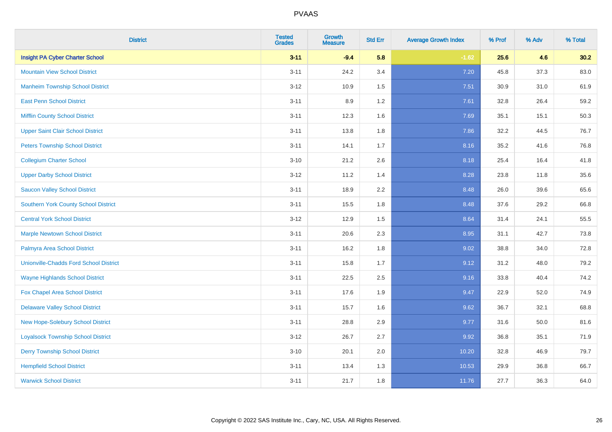| <b>District</b>                               | <b>Tested</b><br><b>Grades</b> | <b>Growth</b><br><b>Measure</b> | <b>Std Err</b> | <b>Average Growth Index</b> | % Prof | % Adv | % Total |
|-----------------------------------------------|--------------------------------|---------------------------------|----------------|-----------------------------|--------|-------|---------|
| <b>Insight PA Cyber Charter School</b>        | $3 - 11$                       | $-9.4$                          | 5.8            | $-1.62$                     | 25.6   | 4.6   | 30.2    |
| <b>Mountain View School District</b>          | $3 - 11$                       | 24.2                            | 3.4            | 7.20                        | 45.8   | 37.3  | 83.0    |
| <b>Manheim Township School District</b>       | $3 - 12$                       | 10.9                            | 1.5            | 7.51                        | 30.9   | 31.0  | 61.9    |
| <b>East Penn School District</b>              | $3 - 11$                       | 8.9                             | 1.2            | 7.61                        | 32.8   | 26.4  | 59.2    |
| <b>Mifflin County School District</b>         | $3 - 11$                       | 12.3                            | 1.6            | 7.69                        | 35.1   | 15.1  | 50.3    |
| <b>Upper Saint Clair School District</b>      | $3 - 11$                       | 13.8                            | 1.8            | 7.86                        | 32.2   | 44.5  | 76.7    |
| <b>Peters Township School District</b>        | $3 - 11$                       | 14.1                            | 1.7            | 8.16                        | 35.2   | 41.6  | 76.8    |
| <b>Collegium Charter School</b>               | $3 - 10$                       | 21.2                            | 2.6            | 8.18                        | 25.4   | 16.4  | 41.8    |
| <b>Upper Darby School District</b>            | $3 - 12$                       | 11.2                            | 1.4            | 8.28                        | 23.8   | 11.8  | 35.6    |
| <b>Saucon Valley School District</b>          | $3 - 11$                       | 18.9                            | 2.2            | 8.48                        | 26.0   | 39.6  | 65.6    |
| <b>Southern York County School District</b>   | $3 - 11$                       | 15.5                            | 1.8            | 8.48                        | 37.6   | 29.2  | 66.8    |
| <b>Central York School District</b>           | $3 - 12$                       | 12.9                            | 1.5            | 8.64                        | 31.4   | 24.1  | 55.5    |
| <b>Marple Newtown School District</b>         | $3 - 11$                       | 20.6                            | 2.3            | 8.95                        | 31.1   | 42.7  | 73.8    |
| Palmyra Area School District                  | $3 - 11$                       | 16.2                            | 1.8            | 9.02                        | 38.8   | 34.0  | 72.8    |
| <b>Unionville-Chadds Ford School District</b> | $3 - 11$                       | 15.8                            | 1.7            | 9.12                        | 31.2   | 48.0  | 79.2    |
| <b>Wayne Highlands School District</b>        | $3 - 11$                       | 22.5                            | 2.5            | 9.16                        | 33.8   | 40.4  | 74.2    |
| Fox Chapel Area School District               | $3 - 11$                       | 17.6                            | 1.9            | 9.47                        | 22.9   | 52.0  | 74.9    |
| <b>Delaware Valley School District</b>        | $3 - 11$                       | 15.7                            | 1.6            | 9.62                        | 36.7   | 32.1  | 68.8    |
| <b>New Hope-Solebury School District</b>      | $3 - 11$                       | 28.8                            | 2.9            | 9.77                        | 31.6   | 50.0  | 81.6    |
| <b>Loyalsock Township School District</b>     | $3 - 12$                       | 26.7                            | 2.7            | 9.92                        | 36.8   | 35.1  | 71.9    |
| <b>Derry Township School District</b>         | $3 - 10$                       | 20.1                            | 2.0            | 10.20                       | 32.8   | 46.9  | 79.7    |
| <b>Hempfield School District</b>              | $3 - 11$                       | 13.4                            | 1.3            | 10.53                       | 29.9   | 36.8  | 66.7    |
| <b>Warwick School District</b>                | $3 - 11$                       | 21.7                            | 1.8            | 11.76                       | 27.7   | 36.3  | 64.0    |